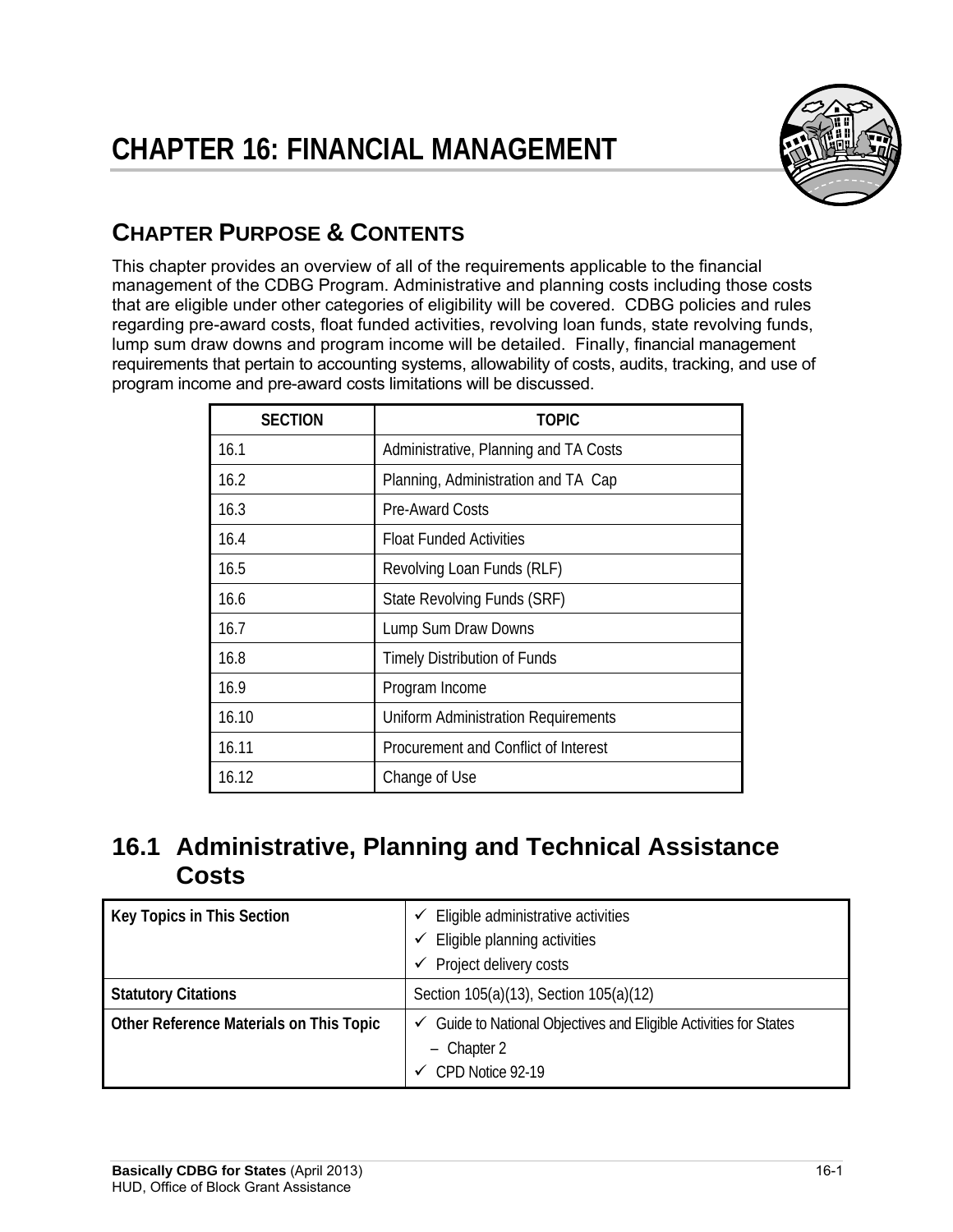

# **CHAPTER PURPOSE & CONTENTS**

 program income and pre-award costs limitations will be discussed. This chapter provides an overview of all of the requirements applicable to the financial management of the CDBG Program. Administrative and planning costs including those costs that are eligible under other categories of eligibility will be covered. CDBG policies and rules regarding pre-award costs, float funded activities, revolving loan funds, state revolving funds, lump sum draw downs and program income will be detailed. Finally, financial management requirements that pertain to accounting systems, allowability of costs, audits, tracking, and use of

| <b>SECTION</b> | TOPIC                                      |
|----------------|--------------------------------------------|
| 16.1           | Administrative, Planning and TA Costs      |
| 16.2           | Planning, Administration and TA Cap        |
| 16.3           | <b>Pre-Award Costs</b>                     |
| 16.4           | <b>Float Funded Activities</b>             |
| 16.5           | Revolving Loan Funds (RLF)                 |
| 16.6           | State Revolving Funds (SRF)                |
| 16.7           | Lump Sum Draw Downs                        |
| 16.8           | <b>Timely Distribution of Funds</b>        |
| 16.9           | Program Income                             |
| 16.10          | <b>Uniform Administration Requirements</b> |
| 16.11          | Procurement and Conflict of Interest       |
| 16.12          | Change of Use                              |

# **16.1 Administrative, Planning and Technical Assistance Costs**

| Key Topics in This Section              | Eligible administrative activities<br>✓<br>Eligible planning activities<br>✓ |
|-----------------------------------------|------------------------------------------------------------------------------|
|                                         | Project delivery costs<br>✓                                                  |
| <b>Statutory Citations</b>              | Section 105(a)(13), Section 105(a)(12)                                       |
| Other Reference Materials on This Topic | $\checkmark$ Guide to National Objectives and Eligible Activities for States |
|                                         | $-$ Chapter 2<br>CPD Notice 92-19                                            |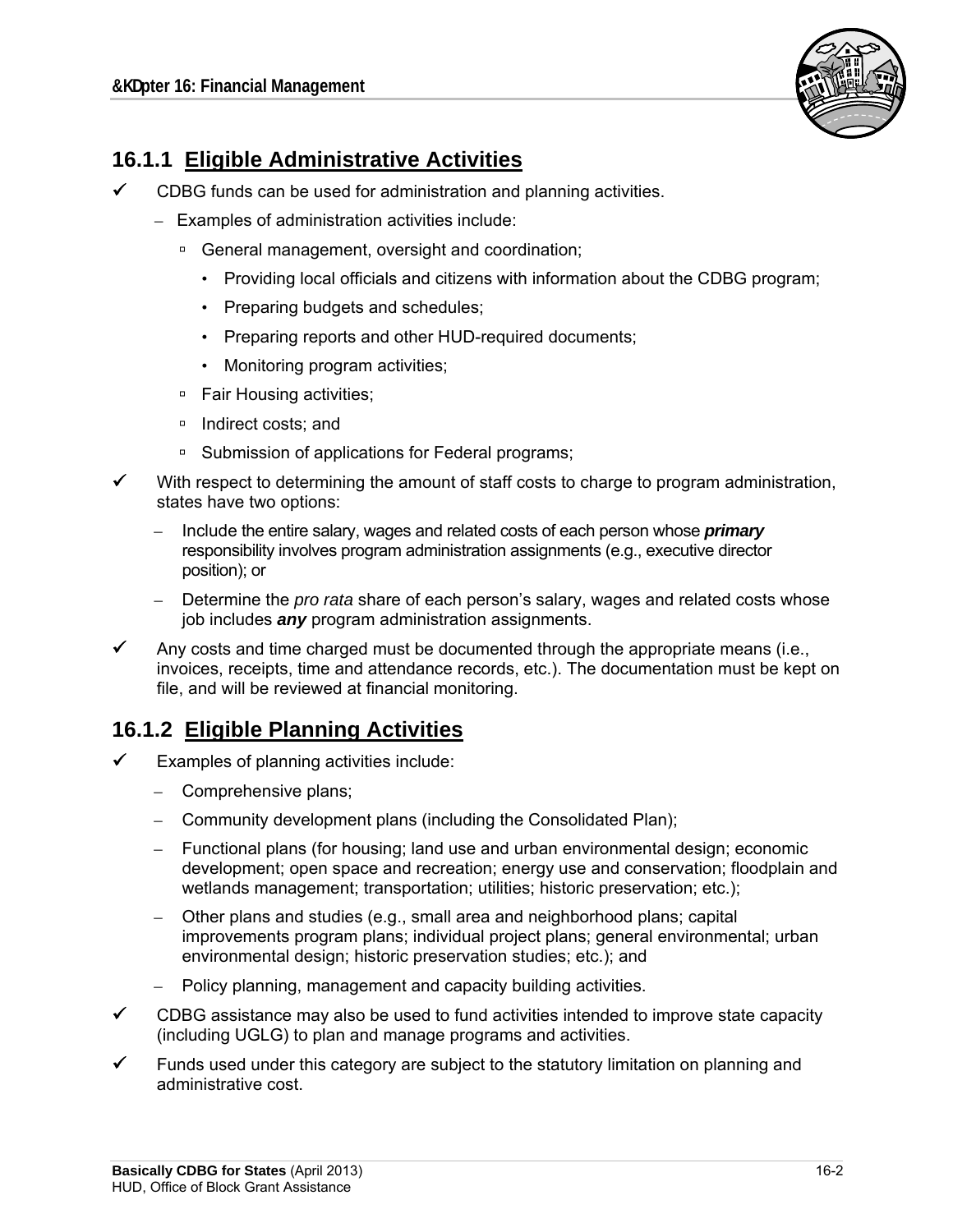

## **16.1.1 Eligible Administrative Activities**

- $\checkmark$  CDBG funds can be used for administration and planning activities.
	- Examples of administration activities include:
		- □ General management, oversight and coordination;
			- Providing local officials and citizens with information about the CDBG program;
			- Preparing budgets and schedules;
			- Preparing reports and other HUD-required documents;
			- Monitoring program activities;
		- □ Fair Housing activities;
		- □ Indirect costs: and
		- □ Submission of applications for Federal programs;
	- With respect to determining the amount of staff costs to charge to program administration, states have two options:
		- Include the entire salary, wages and related costs of each person whose *primary* responsibility involves program administration assignments (e.g., executive director position); or
		- Determine the *pro rata* share of each person's salary, wages and related costs whose job includes *any* program administration assignments.
- Any costs and time charged must be documented through the appropriate means (i.e., invoices, receipts, time and attendance records, etc.). The documentation must be kept on file, and will be reviewed at financial monitoring.

## **16.1.2 Eligible Planning Activities**

- Examples of planning activities include:
	- Comprehensive plans;
	- Community development plans (including the Consolidated Plan);
	- $-$  Functional plans (for housing; land use and urban environmental design; economic development; open space and recreation; energy use and conservation; floodplain and wetlands management; transportation; utilities; historic preservation; etc.);
	- – Other plans and studies (e.g., small area and neighborhood plans; capital improvements program plans; individual project plans; general environmental; urban environmental design; historic preservation studies; etc.); and
	- Policy planning, management and capacity building activities.
- $\checkmark$  CDBG assistance may also be used to fund activities intended to improve state capacity (including UGLG) to plan and manage programs and activities.
- $\checkmark$  Funds used under this category are subject to the statutory limitation on planning and administrative cost.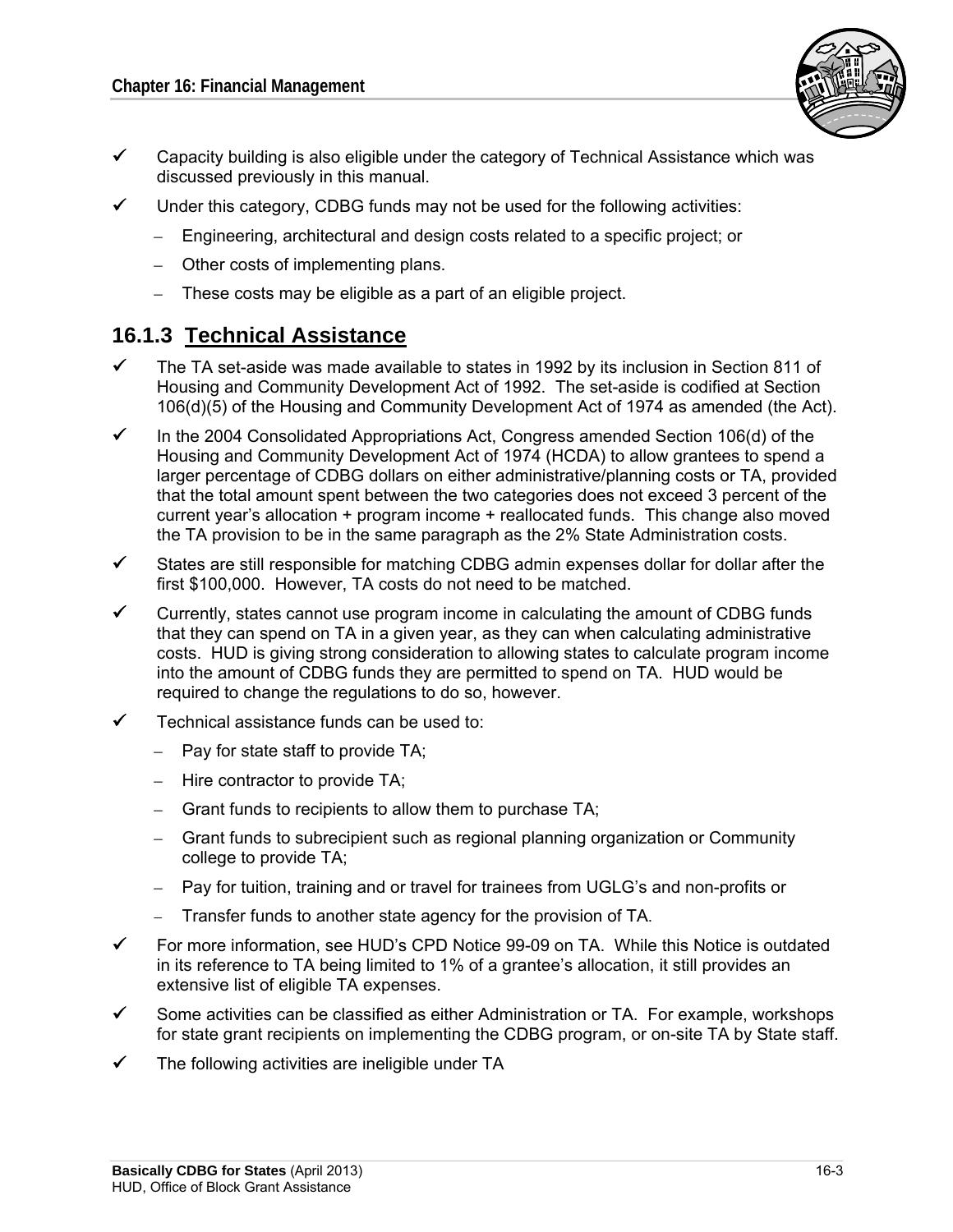

- $\checkmark$  Capacity building is also eligible under the category of Technical Assistance which was discussed previously in this manual.
- $\checkmark$  Under this category, CDBG funds may not be used for the following activities:
	- – Engineering, architectural and design costs related to a specific project; or
	- Other costs of implementing plans.
	- $-$  These costs may be eligible as a part of an eligible project.

### **16.1.3 Technical Assistance**

- $\checkmark$  The TA set-aside was made available to states in 1992 by its inclusion in Section 811 of Housing and Community Development Act of 1992. The set-aside is codified at Section 106(d)(5) of the Housing and Community Development Act of 1974 as amended (the Act).
- $\checkmark$  In the 2004 Consolidated Appropriations Act, Congress amended Section 106(d) of the Housing and Community Development Act of 1974 (HCDA) to allow grantees to spend a larger percentage of CDBG dollars on either administrative/planning costs or TA, provided that the total amount spent between the two categories does not exceed 3 percent of the current year's allocation + program income + reallocated funds. This change also moved the TA provision to be in the same paragraph as the 2% State Administration costs.
- $\checkmark$  States are still responsible for matching CDBG admin expenses dollar for dollar after the first \$100,000. However, TA costs do not need to be matched.
- $\checkmark$  Currently, states cannot use program income in calculating the amount of CDBG funds that they can spend on TA in a given year, as they can when calculating administrative costs. HUD is giving strong consideration to allowing states to calculate program income into the amount of CDBG funds they are permitted to spend on TA. HUD would be required to change the regulations to do so, however.
- Technical assistance funds can be used to:
	- $-$  Pay for state staff to provide TA;
	- $-$  Hire contractor to provide TA;
	- $\overline{-}$  Grant funds to recipients to allow them to purchase TA;
	- Grant funds to subrecipient such as regional planning organization or Community college to provide TA;
	- – Pay for tuition, training and or travel for trainees from UGLG's and non-profits or
	- Transfer funds to another state agency for the provision of TA.
- For more information, see HUD's CPD Notice 99-09 on TA. While this Notice is outdated in its reference to TA being limited to 1% of a grantee's allocation, it still provides an extensive list of eligible TA expenses.
- $\checkmark$  Some activities can be classified as either Administration or TA. For example, workshops for state grant recipients on implementing the CDBG program, or on-site TA by State staff.
- $\checkmark$  The following activities are ineligible under TA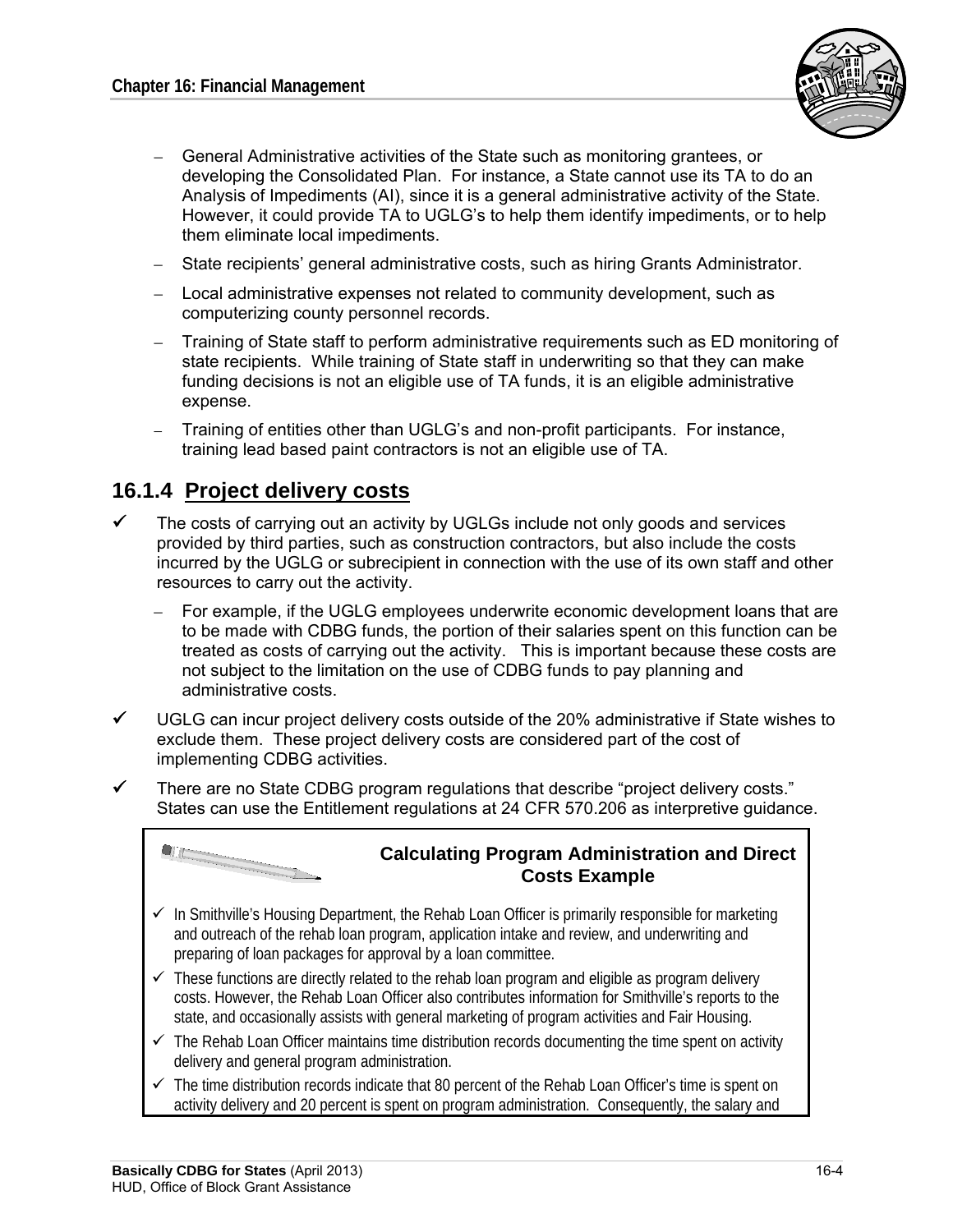

- General Administrative activities of the State such as monitoring grantees, or developing the Consolidated Plan. For instance, a State cannot use its TA to do an Analysis of Impediments (AI), since it is a general administrative activity of the State. However, it could provide TA to UGLG's to help them identify impediments, or to help them eliminate local impediments.
- State recipients' general administrative costs, such as hiring Grants Administrator.
- Local administrative expenses not related to community development, such as computerizing county personnel records.
- Training of State staff to perform administrative requirements such as ED monitoring of state recipients. While training of State staff in underwriting so that they can make funding decisions is not an eligible use of TA funds, it is an eligible administrative expense.
- Training of entities other than UGLG's and non-profit participants. For instance, training lead based paint contractors is not an eligible use of TA.

### **16.1.4 Project delivery costs**

- $\checkmark$  The costs of carrying out an activity by UGLGs include not only goods and services provided by third parties, such as construction contractors, but also include the costs incurred by the UGLG or subrecipient in connection with the use of its own staff and other resources to carry out the activity.
	- For example, if the UGLG employees underwrite economic development loans that are to be made with CDBG funds, the portion of their salaries spent on this function can be treated as costs of carrying out the activity. This is important because these costs are not subject to the limitation on the use of CDBG funds to pay planning and administrative costs.
- $\checkmark$  UGLG can incur project delivery costs outside of the 20% administrative if State wishes to exclude them. These project delivery costs are considered part of the cost of implementing CDBG activities.
- $\checkmark$  There are no State CDBG program regulations that describe "project delivery costs." States can use the Entitlement regulations at 24 CFR 570.206 as interpretive guidance.



 $\checkmark$  The time distribution records indicate that 80 percent of the Rehab Loan Officer's time is spent on activity delivery and 20 percent is spent on program administration. Consequently, the salary and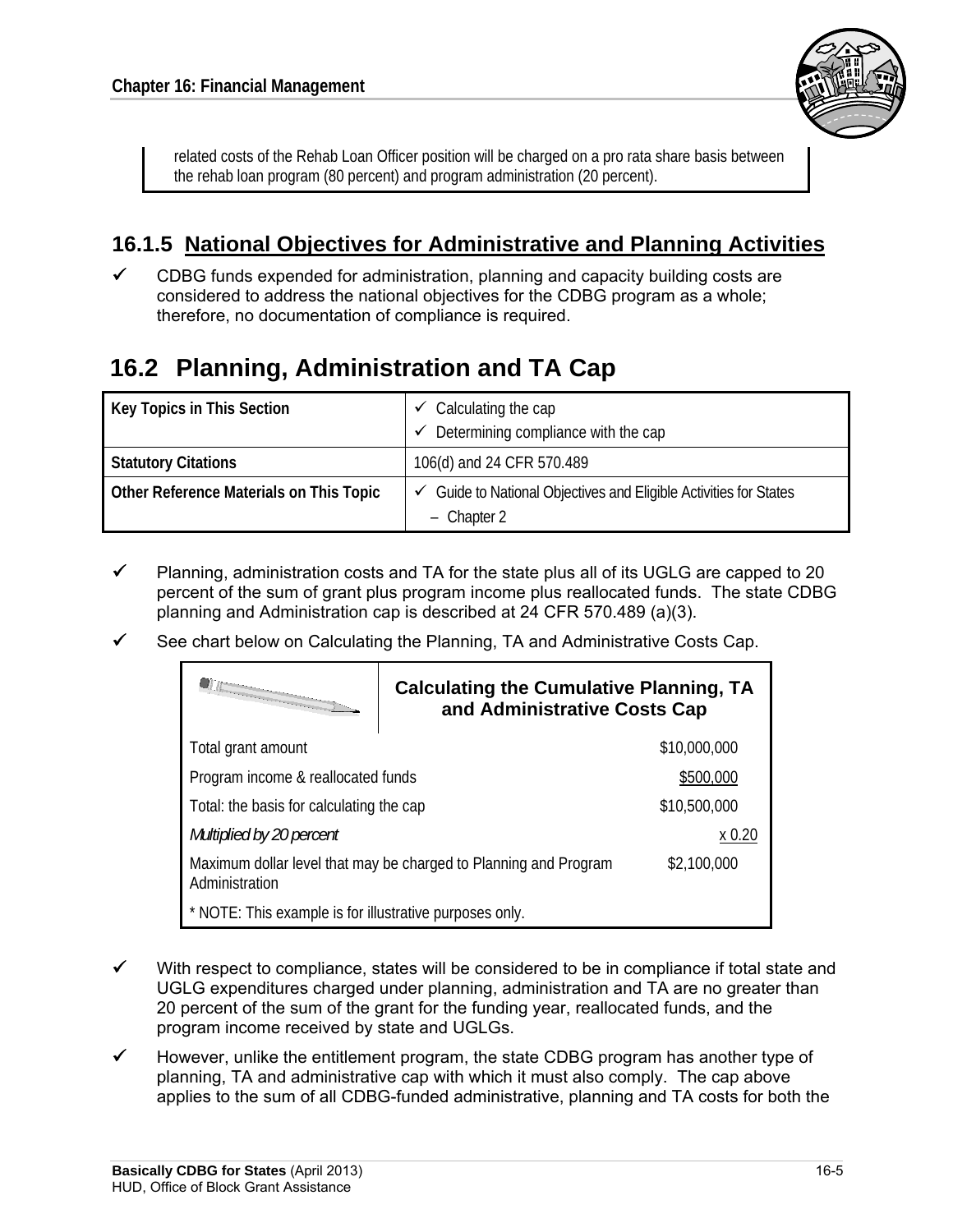

related costs of the Rehab Loan Officer position will be charged on a pro rata share basis between the rehab loan program (80 percent) and program administration (20 percent).

## **16.1.5 National Objectives for Administrative and Planning Activities**

 $\checkmark$  CDBG funds expended for administration, planning and capacity building costs are considered to address the national objectives for the CDBG program as a whole; therefore, no documentation of compliance is required.

# **16.2 Planning, Administration and TA Cap**

| Key Topics in This Section              | $\degree$ Calculating the cap                                     |
|-----------------------------------------|-------------------------------------------------------------------|
|                                         | Determining compliance with the cap<br>$\checkmark$               |
| <b>Statutory Citations</b>              | 106(d) and 24 CFR 570.489                                         |
| Other Reference Materials on This Topic | ✓ Guide to National Objectives and Eligible Activities for States |
|                                         | $-$ Chapter 2                                                     |

- Planning, administration costs and TA for the state plus all of its UGLG are capped to 20 percent of the sum of grant plus program income plus reallocated funds. The state CDBG planning and Administration cap is described at 24 CFR 570.489 (a)(3).
- See chart below on Calculating the Planning, TA and Administrative Costs Cap.

|                                                                                    | <b>Calculating the Cumulative Planning, TA</b><br>and Administrative Costs Cap |              |
|------------------------------------------------------------------------------------|--------------------------------------------------------------------------------|--------------|
| Total grant amount                                                                 |                                                                                | \$10,000,000 |
| Program income & reallocated funds                                                 |                                                                                | \$500,000    |
| Total: the basis for calculating the cap                                           |                                                                                | \$10,500,000 |
| Multiplied by 20 percent                                                           |                                                                                | x 0.20       |
| Maximum dollar level that may be charged to Planning and Program<br>Administration |                                                                                | \$2,100,000  |
| * NOTE: This example is for illustrative purposes only.                            |                                                                                |              |

- $\checkmark$  With respect to compliance, states will be considered to be in compliance if total state and UGLG expenditures charged under planning, administration and TA are no greater than 20 percent of the sum of the grant for the funding year, reallocated funds, and the program income received by state and UGLGs.
- However, unlike the entitlement program, the state CDBG program has another type of planning, TA and administrative cap with which it must also comply. The cap above applies to the sum of all CDBG-funded administrative, planning and TA costs for both the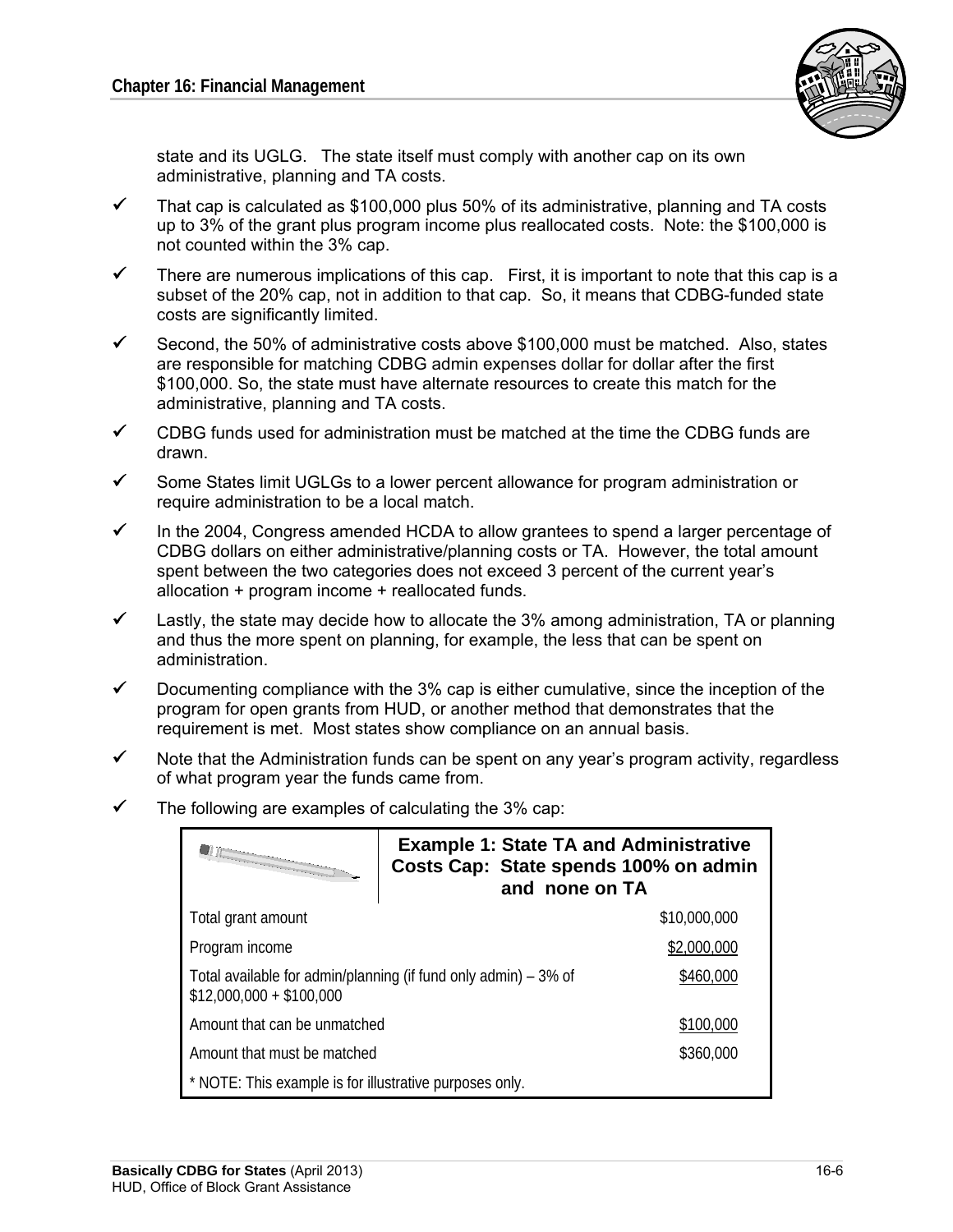

state and its UGLG. The state itself must comply with another cap on its own administrative, planning and TA costs.

- $\checkmark$  That cap is calculated as \$100,000 plus 50% of its administrative, planning and TA costs up to 3% of the grant plus program income plus reallocated costs. Note: the \$100,000 is not counted within the 3% cap.
- $\checkmark$  There are numerous implications of this cap. First, it is important to note that this cap is a subset of the 20% cap, not in addition to that cap. So, it means that CDBG-funded state costs are significantly limited.
- Second, the 50% of administrative costs above \$100,000 must be matched. Also, states are responsible for matching CDBG admin expenses dollar for dollar after the first \$100,000. So, the state must have alternate resources to create this match for the administrative, planning and TA costs.
- $\checkmark$  CDBG funds used for administration must be matched at the time the CDBG funds are drawn.
- $\checkmark$  Some States limit UGLGs to a lower percent allowance for program administration or require administration to be a local match.
- $\checkmark$  In the 2004, Congress amended HCDA to allow grantees to spend a larger percentage of CDBG dollars on either administrative/planning costs or TA. However, the total amount spent between the two categories does not exceed 3 percent of the current year's allocation + program income + reallocated funds.
- $\checkmark$  Lastly, the state may decide how to allocate the 3% among administration, TA or planning and thus the more spent on planning, for example, the less that can be spent on administration.
- $\checkmark$  Documenting compliance with the 3% cap is either cumulative, since the inception of the program for open grants from HUD, or another method that demonstrates that the requirement is met. Most states show compliance on an annual basis.
- $\checkmark$  Note that the Administration funds can be spent on any year's program activity, regardless of what program year the funds came from.
- $\checkmark$  The following are examples of calculating the 3% cap:

| <i><b>FOR EXECUTIVE CONTINUES</b></i>                                                                    | <b>Example 1: State TA and Administrative</b><br>Costs Cap: State spends 100% on admin<br>and none on TA |              |
|----------------------------------------------------------------------------------------------------------|----------------------------------------------------------------------------------------------------------|--------------|
| Total grant amount                                                                                       |                                                                                                          | \$10,000,000 |
| Program income                                                                                           |                                                                                                          | \$2,000,000  |
| Total available for admin/planning (if fund only admin) – 3% of<br>\$460,000<br>$$12,000,000 + $100,000$ |                                                                                                          |              |
| Amount that can be unmatched                                                                             |                                                                                                          | \$100,000    |
| Amount that must be matched                                                                              |                                                                                                          | \$360,000    |
| * NOTE: This example is for illustrative purposes only.                                                  |                                                                                                          |              |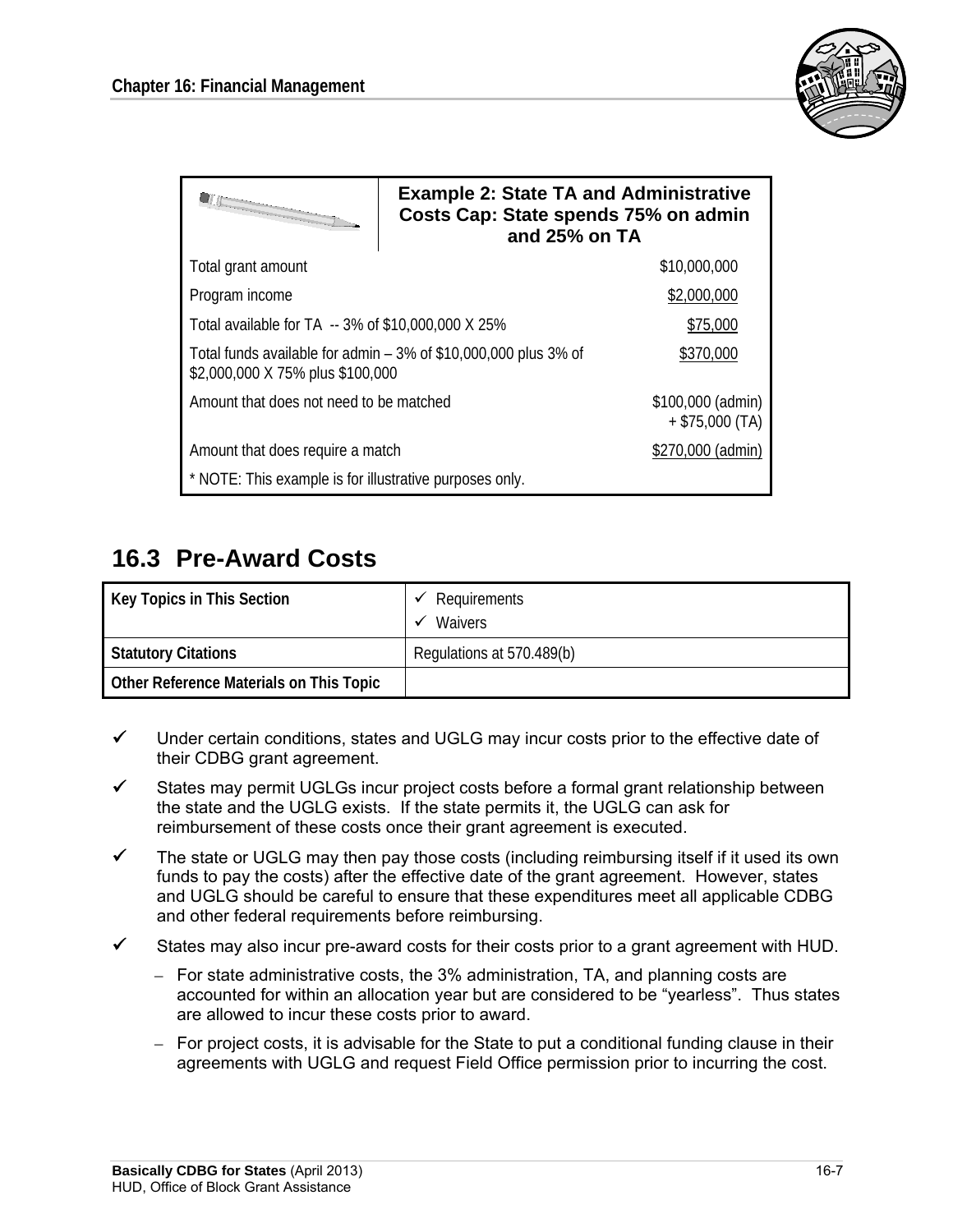

| the company of the company of the company of the company of the company of the company of the company of the company of the company of the company of the company of the company of the company of the company of the company | <b>Example 2: State TA and Administrative</b><br>Costs Cap: State spends 75% on admin<br>and 25% on TA |                                        |
|-------------------------------------------------------------------------------------------------------------------------------------------------------------------------------------------------------------------------------|--------------------------------------------------------------------------------------------------------|----------------------------------------|
| Total grant amount                                                                                                                                                                                                            |                                                                                                        | \$10,000,000                           |
| Program income                                                                                                                                                                                                                |                                                                                                        | \$2,000,000                            |
| Total available for TA -- 3% of \$10,000,000 X 25%                                                                                                                                                                            |                                                                                                        | \$75,000                               |
| Total funds available for admin $-3\%$ of \$10,000,000 plus 3% of<br>\$2,000,000 X 75% plus \$100,000                                                                                                                         |                                                                                                        | \$370,000                              |
| Amount that does not need to be matched                                                                                                                                                                                       |                                                                                                        | \$100,000 (admin)<br>$+$ \$75,000 (TA) |
| Amount that does require a match                                                                                                                                                                                              |                                                                                                        | \$270,000 (admin)                      |
| * NOTE: This example is for illustrative purposes only.                                                                                                                                                                       |                                                                                                        |                                        |

# **16.3 Pre-Award Costs**

| Key Topics in This Section              | Requirements<br><b>Waivers</b> |
|-----------------------------------------|--------------------------------|
| <b>Statutory Citations</b>              | Regulations at 570.489(b)      |
| Other Reference Materials on This Topic |                                |

- $\checkmark$  Under certain conditions, states and UGLG may incur costs prior to the effective date of their CDBG grant agreement.
- $\checkmark$  States may permit UGLGs incur project costs before a formal grant relationship between the state and the UGLG exists. If the state permits it, the UGLG can ask for reimbursement of these costs once their grant agreement is executed.
- $\checkmark$  The state or UGLG may then pay those costs (including reimbursing itself if it used its own funds to pay the costs) after the effective date of the grant agreement. However, states and UGLG should be careful to ensure that these expenditures meet all applicable CDBG and other federal requirements before reimbursing.
- $\checkmark$  States may also incur pre-award costs for their costs prior to a grant agreement with HUD.
	- For state administrative costs, the 3% administration, TA, and planning costs are accounted for within an allocation year but are considered to be "yearless". Thus states are allowed to incur these costs prior to award.
	- For project costs, it is advisable for the State to put a conditional funding clause in their agreements with UGLG and request Field Office permission prior to incurring the cost.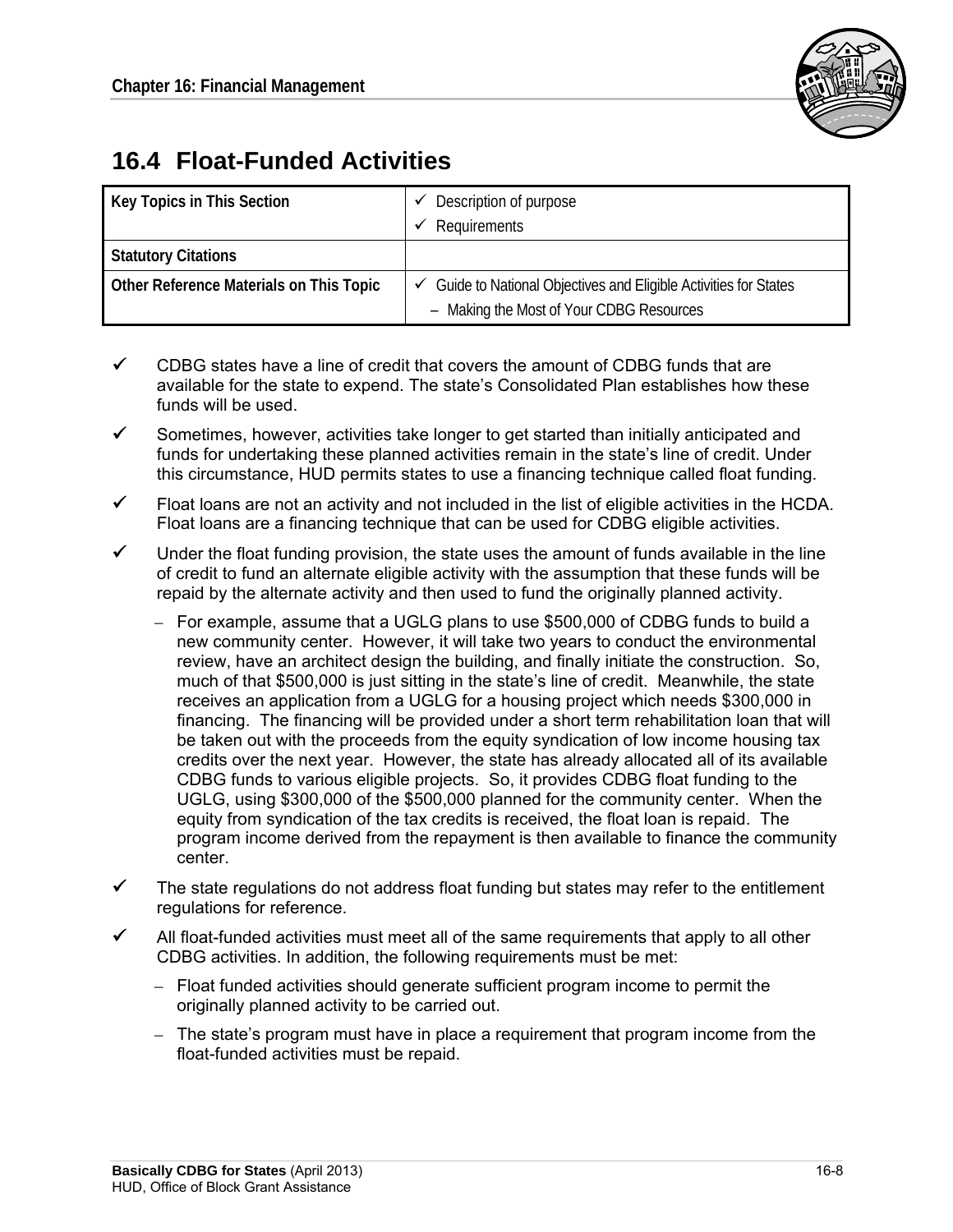

# **16.4 Float-Funded Activities**

| Key Topics in This Section              | Description of purpose                                                       |
|-----------------------------------------|------------------------------------------------------------------------------|
|                                         | Requirements                                                                 |
| <b>Statutory Citations</b>              |                                                                              |
| Other Reference Materials on This Topic | $\checkmark$ Guide to National Objectives and Eligible Activities for States |
|                                         | - Making the Most of Your CDBG Resources                                     |

- $\checkmark$  CDBG states have a line of credit that covers the amount of CDBG funds that are available for the state to expend. The state's Consolidated Plan establishes how these funds will be used.
- $\checkmark$  Sometimes, however, activities take longer to get started than initially anticipated and funds for undertaking these planned activities remain in the state's line of credit. Under this circumstance, HUD permits states to use a financing technique called float funding.
- $\checkmark$  Float loans are not an activity and not included in the list of eligible activities in the HCDA. Float loans are a financing technique that can be used for CDBG eligible activities.
- $\checkmark$  Under the float funding provision, the state uses the amount of funds available in the line of credit to fund an alternate eligible activity with the assumption that these funds will be repaid by the alternate activity and then used to fund the originally planned activity.
	- For example, assume that a UGLG plans to use \$500,000 of CDBG funds to build a new community center. However, it will take two years to conduct the environmental review, have an architect design the building, and finally initiate the construction. So, much of that \$500,000 is just sitting in the state's line of credit. Meanwhile, the state receives an application from a UGLG for a housing project which needs \$300,000 in financing. The financing will be provided under a short term rehabilitation loan that will be taken out with the proceeds from the equity syndication of low income housing tax credits over the next year. However, the state has already allocated all of its available CDBG funds to various eligible projects. So, it provides CDBG float funding to the UGLG, using \$300,000 of the \$500,000 planned for the community center. When the equity from syndication of the tax credits is received, the float loan is repaid. The program income derived from the repayment is then available to finance the community center.
- $\checkmark$  The state regulations do not address float funding but states may refer to the entitlement regulations for reference.
- All float-funded activities must meet all of the same requirements that apply to all other CDBG activities. In addition, the following requirements must be met:
	- – Float funded activities should generate sufficient program income to permit the originally planned activity to be carried out.
	- $-$  The state's program must have in place a requirement that program income from the float-funded activities must be repaid.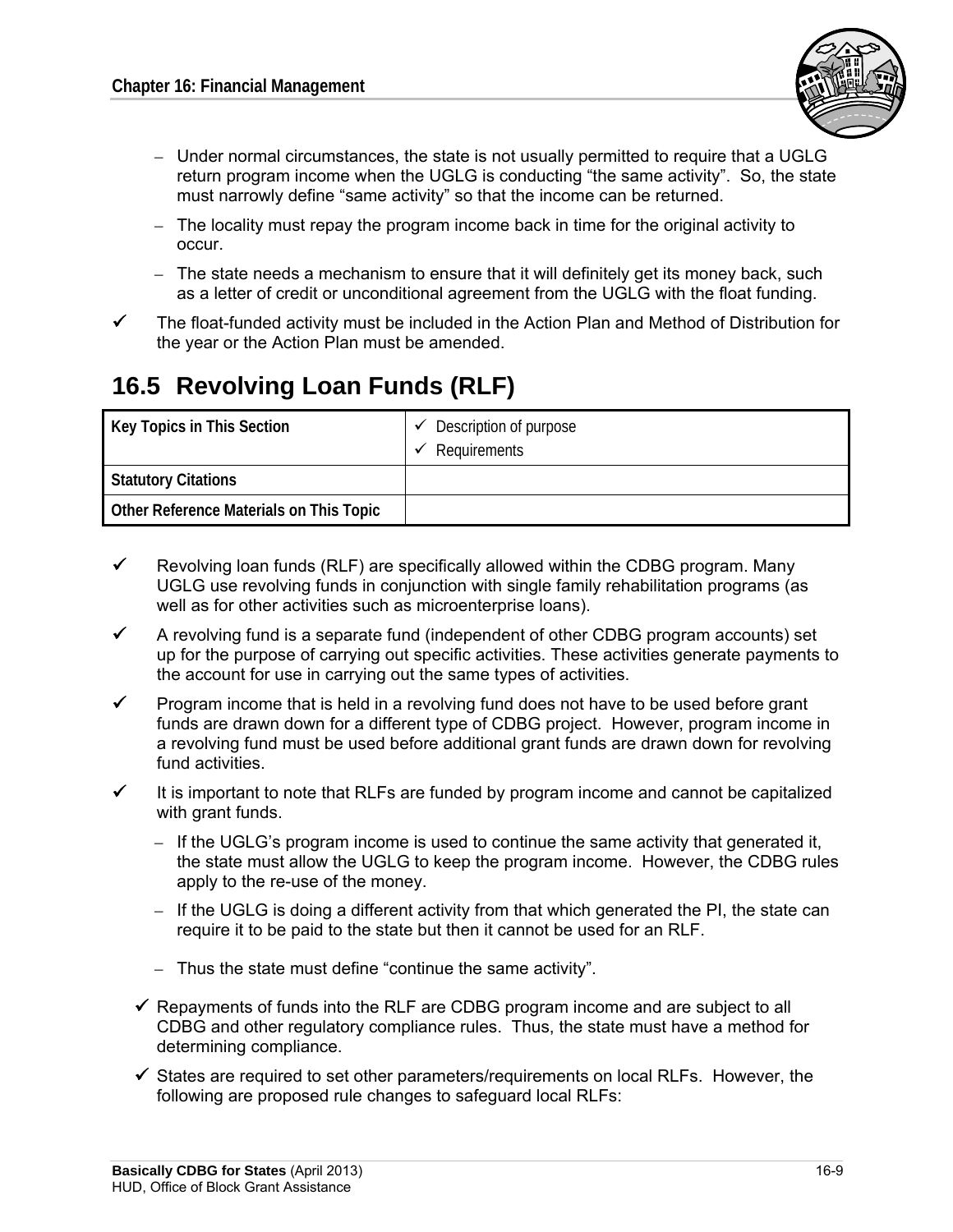

- Under normal circumstances, the state is not usually permitted to require that a UGLG return program income when the UGLG is conducting "the same activity". So, the state must narrowly define "same activity" so that the income can be returned.
- $-$  The locality must repay the program income back in time for the original activity to occur.
- The state needs a mechanism to ensure that it will definitely get its money back, such as a letter of credit or unconditional agreement from the UGLG with the float funding.
- $\checkmark$  The float-funded activity must be included in the Action Plan and Method of Distribution for the year or the Action Plan must be amended.

# **16.5 Revolving Loan Funds (RLF)**

| Key Topics in This Section              | $\checkmark$ Description of purpose<br>Requirements |
|-----------------------------------------|-----------------------------------------------------|
| <b>Statutory Citations</b>              |                                                     |
| Other Reference Materials on This Topic |                                                     |

- $\checkmark$  Revolving loan funds (RLF) are specifically allowed within the CDBG program. Many UGLG use revolving funds in conjunction with single family rehabilitation programs (as well as for other activities such as microenterprise loans).
- $\checkmark$  A revolving fund is a separate fund (independent of other CDBG program accounts) set up for the purpose of carrying out specific activities. These activities generate payments to the account for use in carrying out the same types of activities.
- Program income that is held in a revolving fund does not have to be used before grant funds are drawn down for a different type of CDBG project. However, program income in a revolving fund must be used before additional grant funds are drawn down for revolving fund activities.
- $\checkmark$  It is important to note that RLFs are funded by program income and cannot be capitalized with grant funds.
	- $-$  If the UGLG's program income is used to continue the same activity that generated it, the state must allow the UGLG to keep the program income. However, the CDBG rules apply to the re-use of the money.
	- $-$  If the UGLG is doing a different activity from that which generated the PI, the state can require it to be paid to the state but then it cannot be used for an RLF.
	- $-$  Thus the state must define "continue the same activity".
	- $\checkmark$  Repayments of funds into the RLF are CDBG program income and are subject to all CDBG and other regulatory compliance rules. Thus, the state must have a method for determining compliance.
	- $\checkmark$  States are required to set other parameters/requirements on local RLFs. However, the following are proposed rule changes to safeguard local RLFs: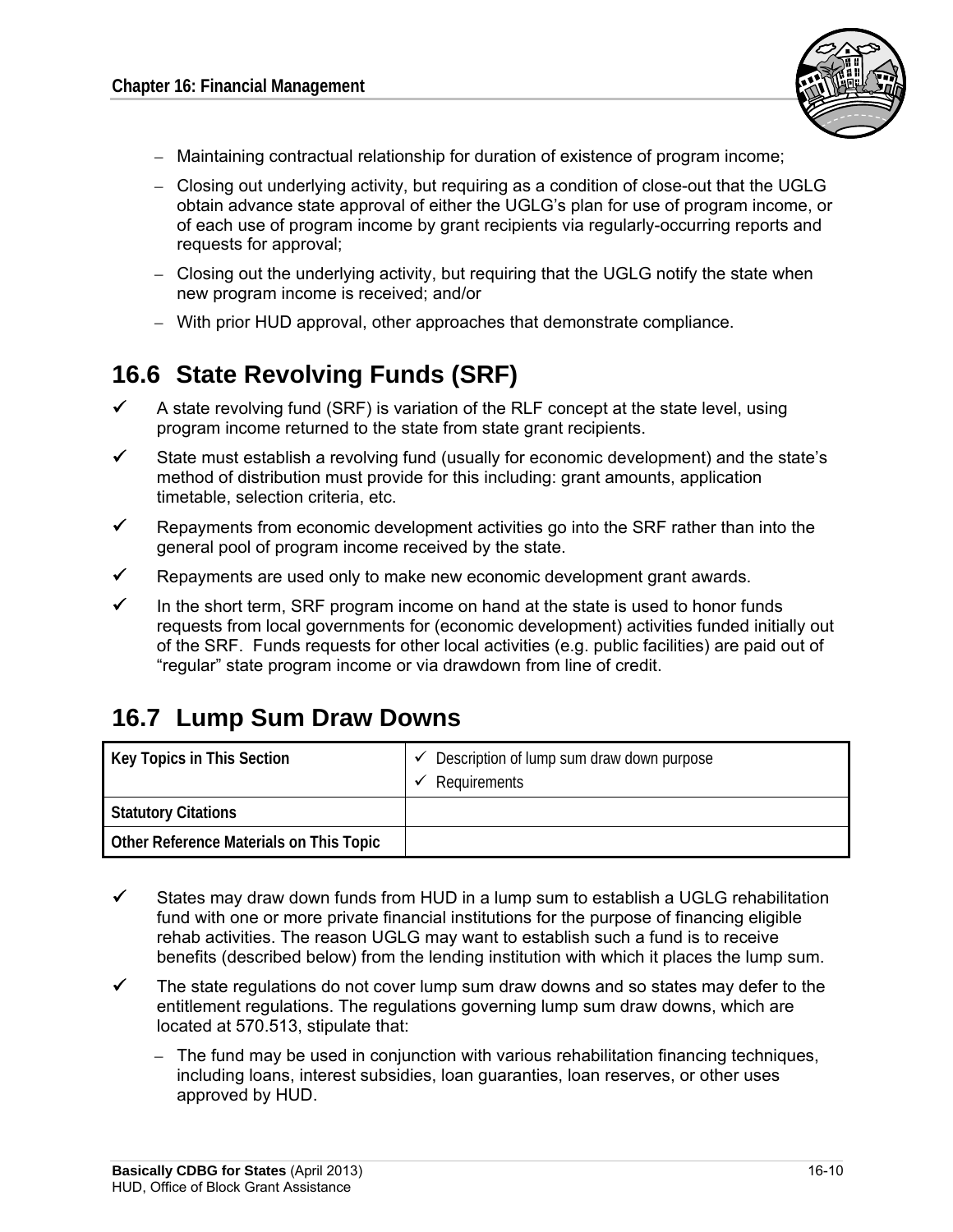

- $-$  Maintaining contractual relationship for duration of existence of program income:
- Closing out underlying activity, but requiring as a condition of close-out that the UGLG obtain advance state approval of either the UGLG's plan for use of program income, or of each use of program income by grant recipients via regularly-occurring reports and requests for approval;
- Closing out the underlying activity, but requiring that the UGLG notify the state when new program income is received; and/or
- With prior HUD approval, other approaches that demonstrate compliance.

# **16.6 State Revolving Funds (SRF)**

- $\checkmark$  A state revolving fund (SRF) is variation of the RLF concept at the state level, using program income returned to the state from state grant recipients.
- State must establish a revolving fund (usually for economic development) and the state's method of distribution must provide for this including: grant amounts, application timetable, selection criteria, etc.
- $\checkmark$  Repayments from economic development activities go into the SRF rather than into the general pool of program income received by the state.
- Repayments are used only to make new economic development grant awards.
- $\checkmark$  In the short term, SRF program income on hand at the state is used to honor funds requests from local governments for (economic development) activities funded initially out of the SRF. Funds requests for other local activities (e.g. public facilities) are paid out of "regular" state program income or via drawdown from line of credit.

# **16.7 Lump Sum Draw Downs**

| Key Topics in This Section              | Description of lump sum draw down purpose<br>Requirements |
|-----------------------------------------|-----------------------------------------------------------|
| <b>Statutory Citations</b>              |                                                           |
| Other Reference Materials on This Topic |                                                           |

- $\checkmark$  States may draw down funds from HUD in a lump sum to establish a UGLG rehabilitation fund with one or more private financial institutions for the purpose of financing eligible rehab activities. The reason UGLG may want to establish such a fund is to receive benefits (described below) from the lending institution with which it places the lump sum.
- $\checkmark$  The state regulations do not cover lump sum draw downs and so states may defer to the entitlement regulations. The regulations governing lump sum draw downs, which are located at 570.513, stipulate that:
	- $-$  The fund may be used in conjunction with various rehabilitation financing techniques, including loans, interest subsidies, loan guaranties, loan reserves, or other uses approved by HUD.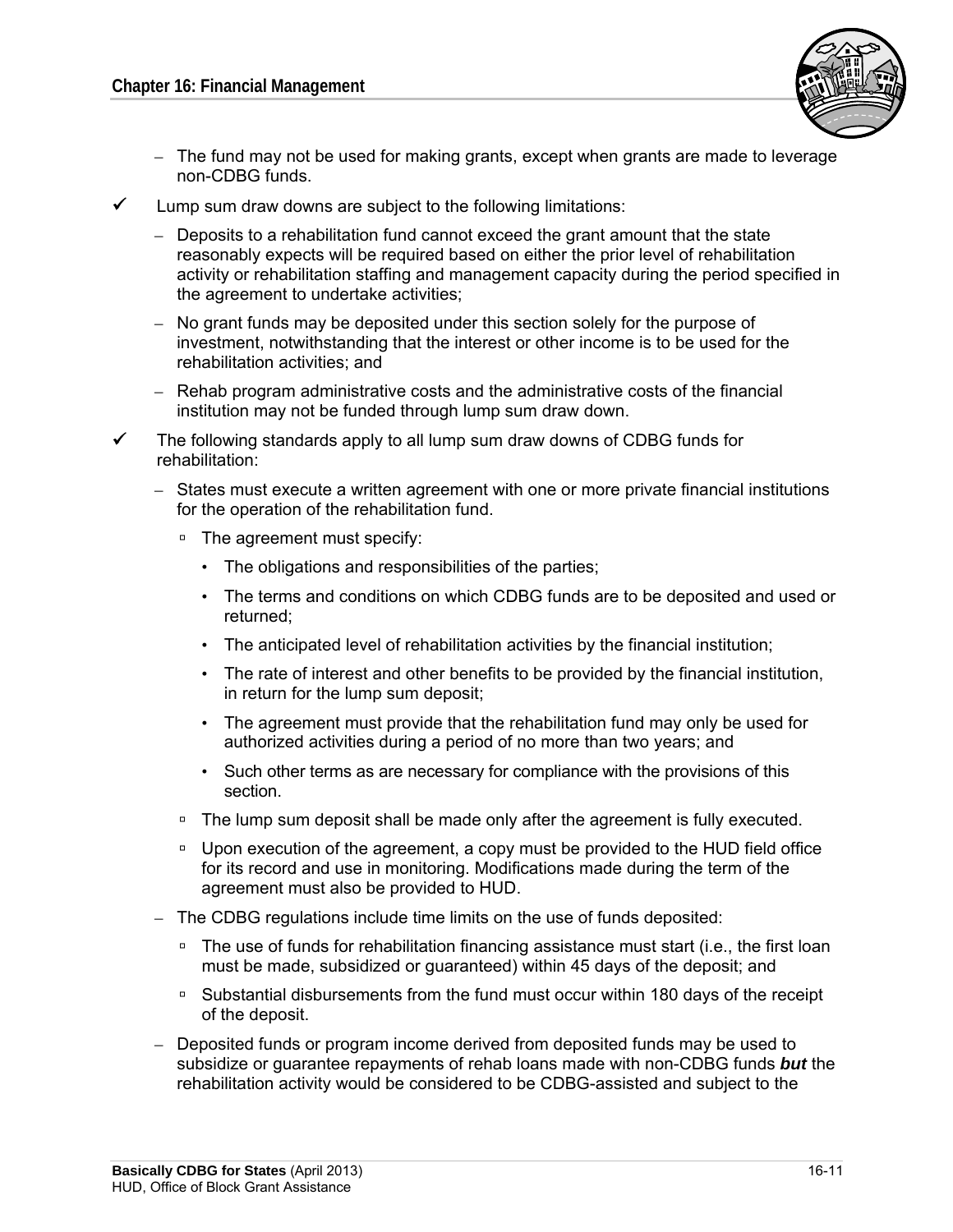

- $-$  The fund may not be used for making grants, except when grants are made to leverage non-CDBG funds.
- $\checkmark$  Lump sum draw downs are subject to the following limitations:
	- $-$  Deposits to a rehabilitation fund cannot exceed the grant amount that the state reasonably expects will be required based on either the prior level of rehabilitation activity or rehabilitation staffing and management capacity during the period specified in the agreement to undertake activities;
	- $-$  No grant funds may be deposited under this section solely for the purpose of investment, notwithstanding that the interest or other income is to be used for the rehabilitation activities; and
	- Rehab program administrative costs and the administrative costs of the financial institution may not be funded through lump sum draw down.
- $\checkmark$  The following standards apply to all lump sum draw downs of CDBG funds for rehabilitation:
	- States must execute a written agreement with one or more private financial institutions for the operation of the rehabilitation fund.
		- □ The agreement must specify:
			- The obligations and responsibilities of the parties;
			- The terms and conditions on which CDBG funds are to be deposited and used or returned;
			- The anticipated level of rehabilitation activities by the financial institution;
			- The rate of interest and other benefits to be provided by the financial institution, in return for the lump sum deposit;
			- The agreement must provide that the rehabilitation fund may only be used for authorized activities during a period of no more than two years; and
			- • Such other terms as are necessary for compliance with the provisions of this section.
		- The lump sum deposit shall be made only after the agreement is fully executed.
		- D Upon execution of the agreement, a copy must be provided to the HUD field office for its record and use in monitoring. Modifications made during the term of the agreement must also be provided to HUD.
	- The CDBG regulations include time limits on the use of funds deposited:
		- □ The use of funds for rehabilitation financing assistance must start (i.e., the first loan must be made, subsidized or guaranteed) within 45 days of the deposit; and
		- Substantial disbursements from the fund must occur within 180 days of the receipt of the deposit.
	- Deposited funds or program income derived from deposited funds may be used to subsidize or guarantee repayments of rehab loans made with non-CDBG funds *but* the rehabilitation activity would be considered to be CDBG-assisted and subject to the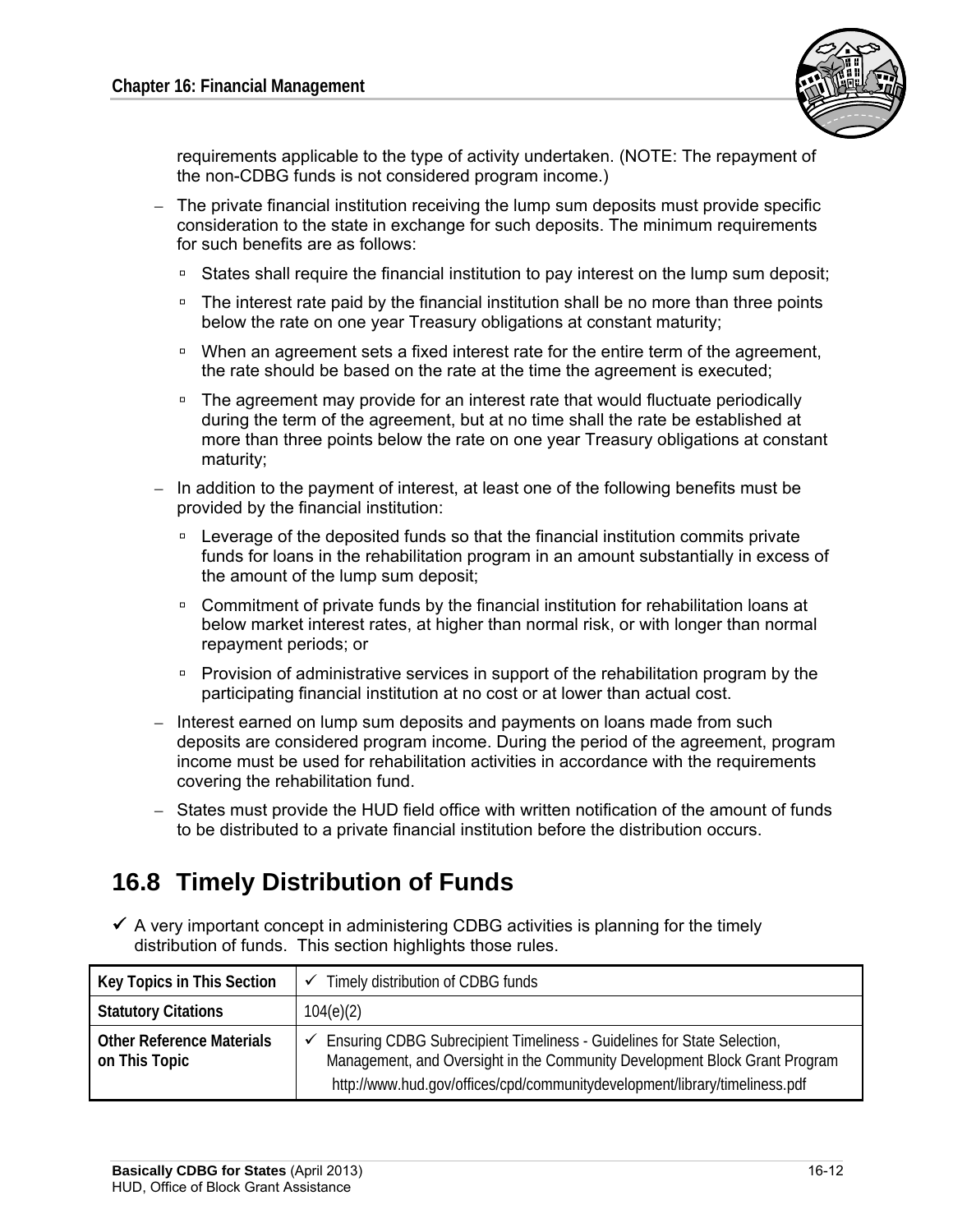

requirements applicable to the type of activity undertaken. (NOTE: The repayment of the non-CDBG funds is not considered program income.)

- The private financial institution receiving the lump sum deposits must provide specific consideration to the state in exchange for such deposits. The minimum requirements for such benefits are as follows:
	- States shall require the financial institution to pay interest on the lump sum deposit;
	- □ The interest rate paid by the financial institution shall be no more than three points below the rate on one year Treasury obligations at constant maturity;
	- □ When an agreement sets a fixed interest rate for the entire term of the agreement, the rate should be based on the rate at the time the agreement is executed;
	- □ The agreement may provide for an interest rate that would fluctuate periodically during the term of the agreement, but at no time shall the rate be established at more than three points below the rate on one year Treasury obligations at constant maturity;
- In addition to the payment of interest, at least one of the following benefits must be provided by the financial institution:
	- Leverage of the deposited funds so that the financial institution commits private funds for loans in the rehabilitation program in an amount substantially in excess of the amount of the lump sum deposit;
	- Commitment of private funds by the financial institution for rehabilitation loans at below market interest rates, at higher than normal risk, or with longer than normal repayment periods; or
	- Provision of administrative services in support of the rehabilitation program by the participating financial institution at no cost or at lower than actual cost.
- Interest earned on lump sum deposits and payments on loans made from such deposits are considered program income. During the period of the agreement, program income must be used for rehabilitation activities in accordance with the requirements covering the rehabilitation fund.
- States must provide the HUD field office with written notification of the amount of funds to be distributed to a private financial institution before the distribution occurs.

# **16.8 Timely Distribution of Funds**

 $\checkmark$  A very important concept in administering CDBG activities is planning for the timely distribution of funds. This section highlights those rules.

| Key Topics in This Section                        | Timely distribution of CDBG funds                                                                                                                                                                                                                |
|---------------------------------------------------|--------------------------------------------------------------------------------------------------------------------------------------------------------------------------------------------------------------------------------------------------|
| <b>Statutory Citations</b>                        | 104(e)(2)                                                                                                                                                                                                                                        |
| <b>Other Reference Materials</b><br>on This Topic | $\checkmark$ Ensuring CDBG Subrecipient Timeliness - Guidelines for State Selection,<br>Management, and Oversight in the Community Development Block Grant Program<br>http://www.hud.gov/offices/cpd/communitydevelopment/library/timeliness.pdf |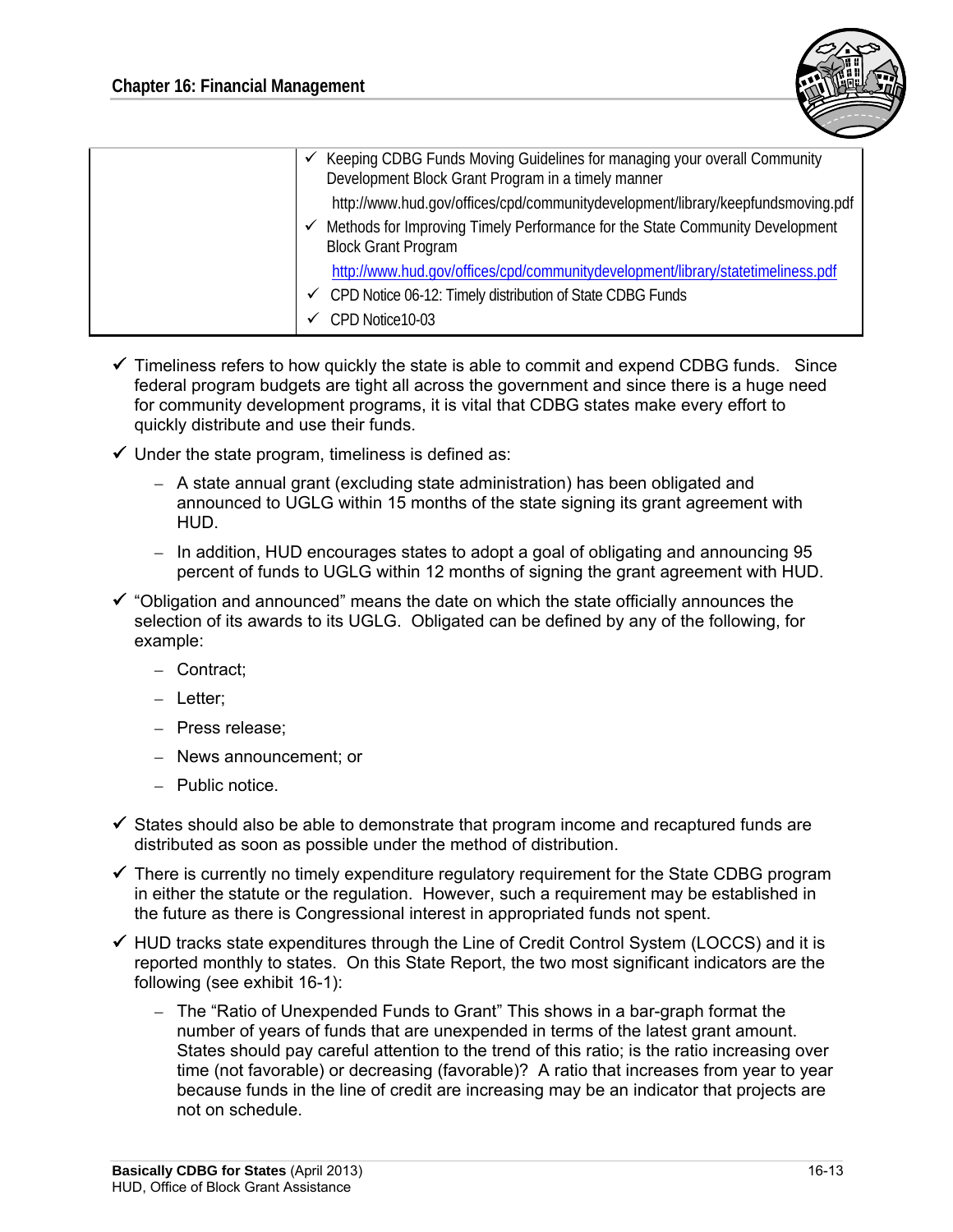

|  | Keeping CDBG Funds Moving Guidelines for managing your overall Community<br>Development Block Grant Program in a timely manner |
|--|--------------------------------------------------------------------------------------------------------------------------------|
|  | http://www.hud.gov/offices/cpd/communitydevelopment/library/keepfundsmoving.pdf                                                |
|  | Methods for Improving Timely Performance for the State Community Development<br><b>Block Grant Program</b>                     |
|  | http://www.hud.gov/offices/cpd/communitydevelopment/library/statetimeliness.pdf                                                |
|  | $\checkmark$ CPD Notice 06-12: Timely distribution of State CDBG Funds                                                         |
|  | CPD Notice10-03                                                                                                                |
|  |                                                                                                                                |

- $\checkmark$  Timeliness refers to how quickly the state is able to commit and expend CDBG funds. Since federal program budgets are tight all across the government and since there is a huge need for community development programs, it is vital that CDBG states make every effort to quickly distribute and use their funds.
- $\checkmark$  Under the state program, timeliness is defined as:
	- $-$  A state annual grant (excluding state administration) has been obligated and announced to UGLG within 15 months of the state signing its grant agreement with HUD.
	- $-$  In addition, HUD encourages states to adopt a goal of obligating and announcing 95 percent of funds to UGLG within 12 months of signing the grant agreement with HUD.
- $\checkmark$  "Obligation and announced" means the date on which the state officially announces the selection of its awards to its UGLG. Obligated can be defined by any of the following, for example:
	- Contract;
	- Letter;
	- Press release;
	- – News announcement; or
	- Public notice.
- $\checkmark$  States should also be able to demonstrate that program income and recaptured funds are distributed as soon as possible under the method of distribution.
- $\checkmark$  There is currently no timely expenditure regulatory requirement for the State CDBG program in either the statute or the regulation. However, such a requirement may be established in the future as there is Congressional interest in appropriated funds not spent.
- $\checkmark$  HUD tracks state expenditures through the Line of Credit Control System (LOCCS) and it is reported monthly to states. On this State Report, the two most significant indicators are the following (see exhibit 16-1):
	- The "Ratio of Unexpended Funds to Grant" This shows in a bar-graph format the number of years of funds that are unexpended in terms of the latest grant amount. States should pay careful attention to the trend of this ratio; is the ratio increasing over time (not favorable) or decreasing (favorable)? A ratio that increases from year to year because funds in the line of credit are increasing may be an indicator that projects are not on schedule.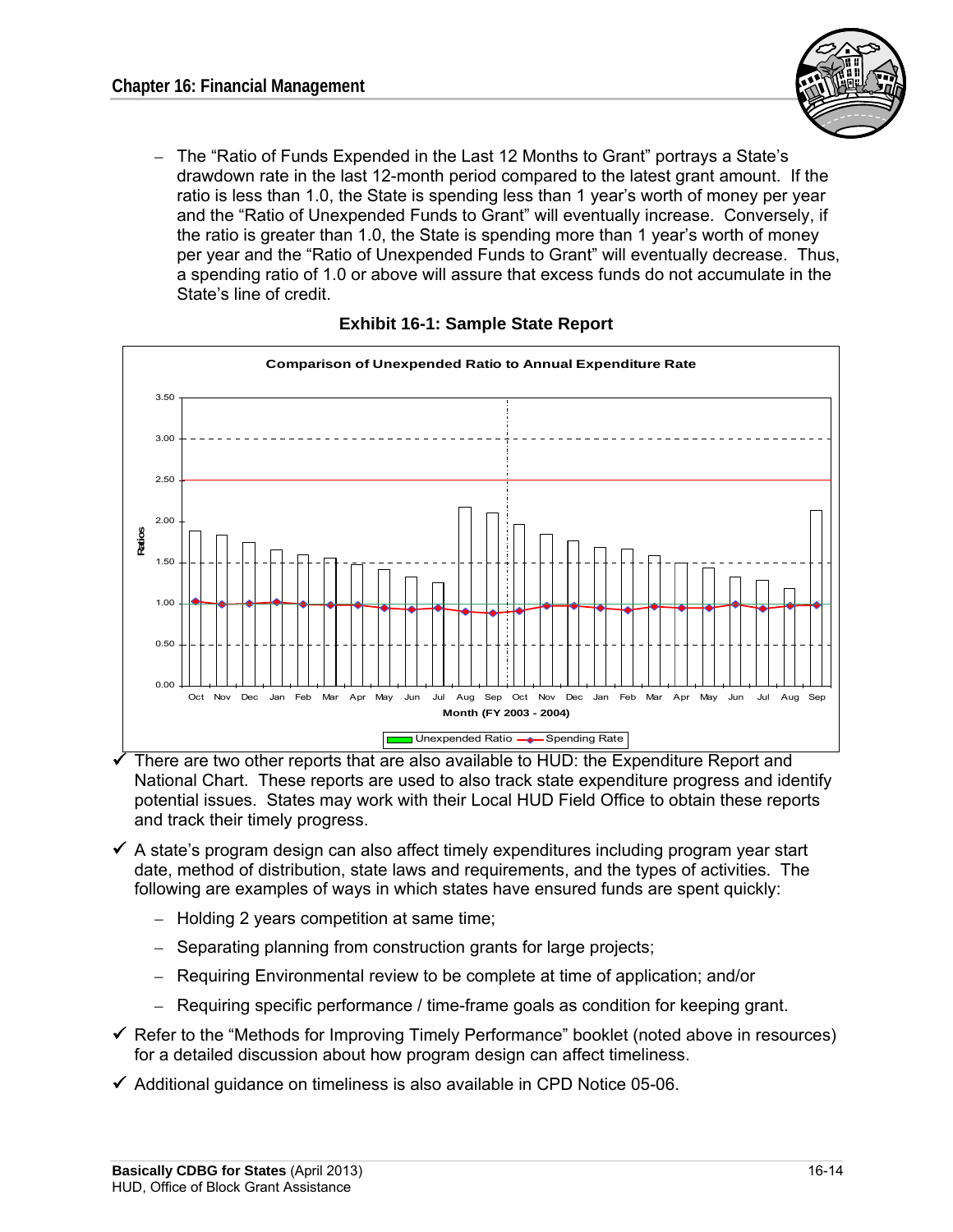

- The "Ratio of Funds Expended in the Last 12 Months to Grant" portrays a State's drawdown rate in the last 12-month period compared to the latest grant amount. If the ratio is less than 1.0, the State is spending less than 1 year's worth of money per year and the "Ratio of Unexpended Funds to Grant" will eventually increase. Conversely, if the ratio is greater than 1.0, the State is spending more than 1 year's worth of money per year and the "Ratio of Unexpended Funds to Grant" will eventually decrease. Thus, a spending ratio of 1.0 or above will assure that excess funds do not accumulate in the State's line of credit.



#### **Exhibit 16-1: Sample State Report**

 There are two other reports that are also available to HUD: the Expenditure Report and National Chart. These reports are used to also track state expenditure progress and identify potential issues. States may work with their Local HUD Field Office to obtain these reports and track their timely progress.

- $\checkmark$  A state's program design can also affect timely expenditures including program year start date, method of distribution, state laws and requirements, and the types of activities. The following are examples of ways in which states have ensured funds are spent quickly:
	- Holding 2 years competition at same time;
	- Separating planning from construction grants for large projects;
	- – Requiring Environmental review to be complete at time of application; and/or
	- $-$  Requiring specific performance / time-frame goals as condition for keeping grant.
- $\checkmark$  Refer to the "Methods for Improving Timely Performance" booklet (noted above in resources) for a detailed discussion about how program design can affect timeliness.
- $\checkmark$  Additional guidance on timeliness is also available in CPD Notice 05-06.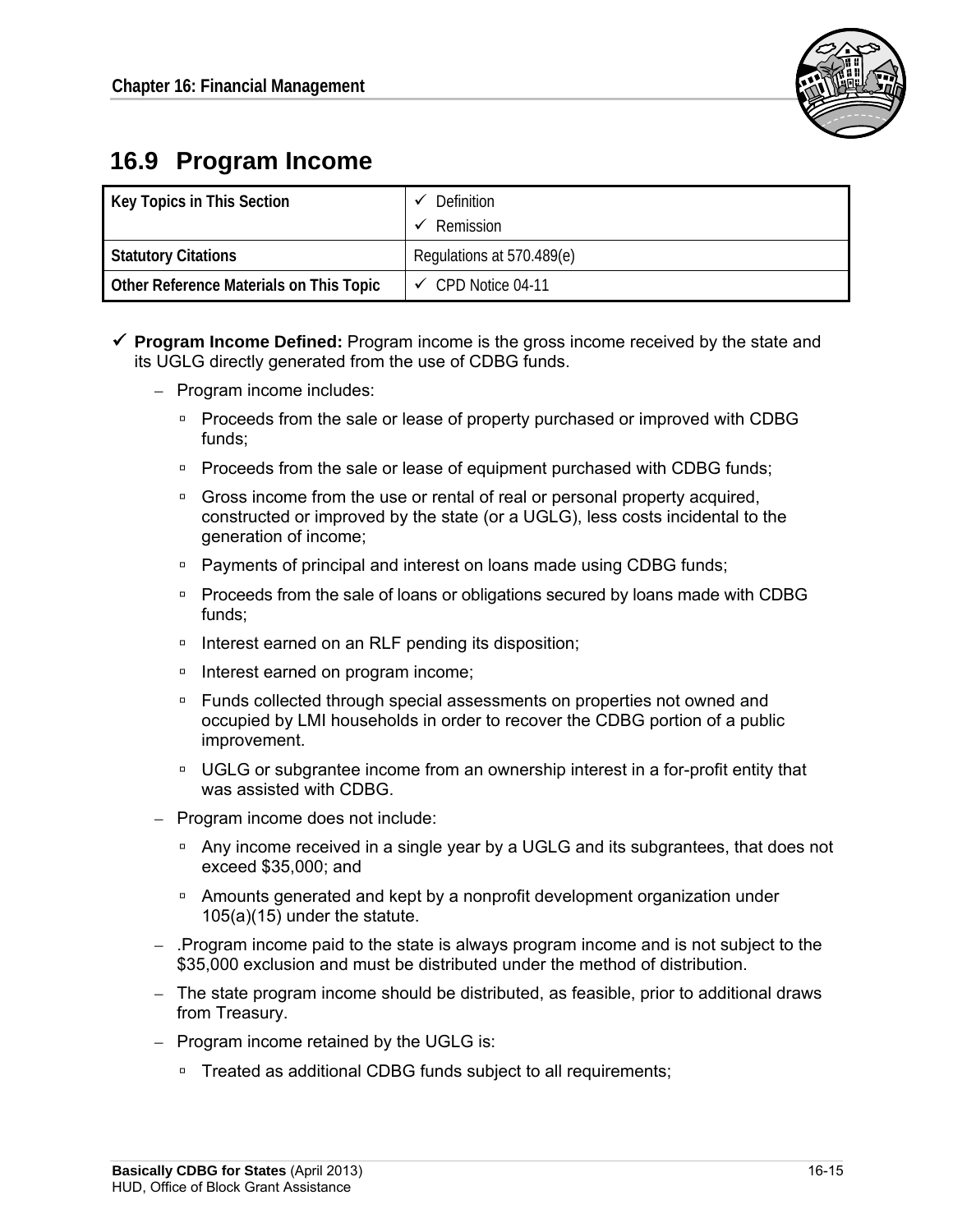

# **16.9 Program Income**

| Key Topics in This Section              | Definition<br>Remission       |
|-----------------------------------------|-------------------------------|
| <b>Statutory Citations</b>              | Regulations at 570.489(e)     |
| Other Reference Materials on This Topic | $\checkmark$ CPD Notice 04-11 |

- **Program Income Defined:** Program income is the gross income received by the state and its UGLG directly generated from the use of CDBG funds.
	- Program income includes:
		- **Proceeds from the sale or lease of property purchased or improved with CDBG** funds;
		- □ Proceeds from the sale or lease of equipment purchased with CDBG funds;
		- □ Gross income from the use or rental of real or personal property acquired, constructed or improved by the state (or a UGLG), less costs incidental to the generation of income;
		- □ Payments of principal and interest on loans made using CDBG funds;
		- □ Proceeds from the sale of loans or obligations secured by loans made with CDBG funds;
		- □ Interest earned on an RLF pending its disposition;
		- □ Interest earned on program income;
		- □ Funds collected through special assessments on properties not owned and occupied by LMI households in order to recover the CDBG portion of a public improvement.
		- **UGLG or subgrantee income from an ownership interest in a for-profit entity that** was assisted with CDBG.
	- Program income does not include:
		- □ Any income received in a single year by a UGLG and its subgrantees, that does not exceed \$35,000; and
		- Amounts generated and kept by a nonprofit development organization under 105(a)(15) under the statute.
	- .Program income paid to the state is always program income and is not subject to the \$35,000 exclusion and must be distributed under the method of distribution.
	- $-$  The state program income should be distributed, as feasible, prior to additional draws from Treasury.
	- $-$  Program income retained by the UGLG is:
		- □ Treated as additional CDBG funds subject to all requirements;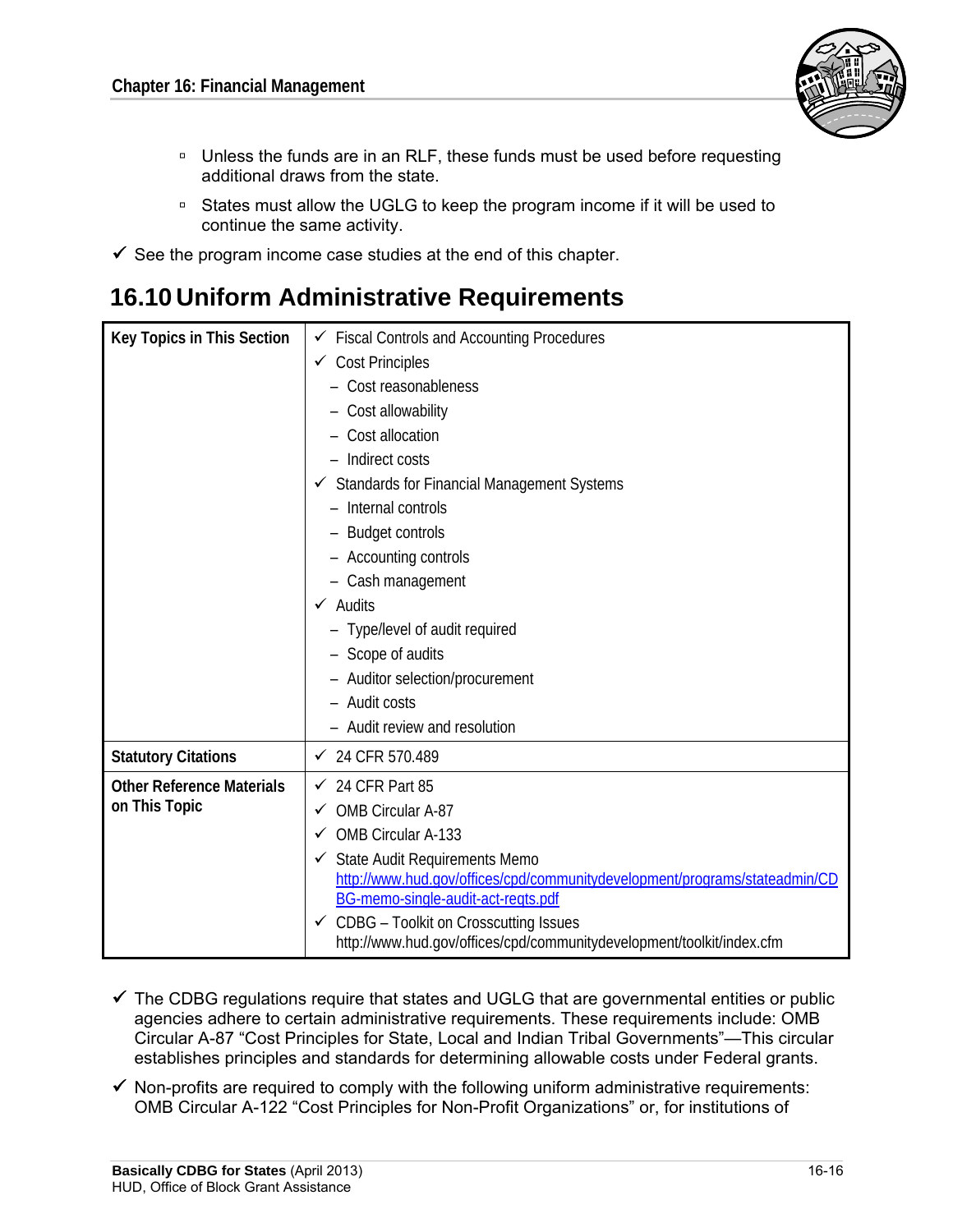

- □ Unless the funds are in an RLF, these funds must be used before requesting additional draws from the state.
- □ States must allow the UGLG to keep the program income if it will be used to continue the same activity.
- $\checkmark$  See the program income case studies at the end of this chapter.

## **16.10 Uniform Administrative Requirements**

| Key Topics in This Section       | $\checkmark$ Fiscal Controls and Accounting Procedures                                                           |  |
|----------------------------------|------------------------------------------------------------------------------------------------------------------|--|
|                                  | $\checkmark$ Cost Principles                                                                                     |  |
|                                  | - Cost reasonableness                                                                                            |  |
|                                  | - Cost allowability                                                                                              |  |
|                                  | Cost allocation                                                                                                  |  |
|                                  | - Indirect costs                                                                                                 |  |
|                                  | ✔ Standards for Financial Management Systems                                                                     |  |
|                                  | - Internal controls                                                                                              |  |
|                                  | - Budget controls                                                                                                |  |
|                                  | - Accounting controls                                                                                            |  |
|                                  | - Cash management                                                                                                |  |
|                                  | $\checkmark$ Audits                                                                                              |  |
|                                  | - Type/level of audit required                                                                                   |  |
|                                  | - Scope of audits                                                                                                |  |
|                                  | - Auditor selection/procurement                                                                                  |  |
|                                  | - Audit costs                                                                                                    |  |
|                                  | - Audit review and resolution                                                                                    |  |
| <b>Statutory Citations</b>       | $\checkmark$ 24 CFR 570.489                                                                                      |  |
| <b>Other Reference Materials</b> | $\checkmark$ 24 CFR Part 85                                                                                      |  |
| on This Topic                    | OMB Circular A-87<br>✓                                                                                           |  |
|                                  | OMB Circular A-133<br>$\checkmark$                                                                               |  |
|                                  | State Audit Requirements Memo<br>✓                                                                               |  |
|                                  | http://www.hud.gov/offices/cpd/communitydevelopment/programs/stateadmin/CD<br>BG-memo-single-audit-act-regts.pdf |  |
|                                  | $\checkmark$ CDBG - Toolkit on Crosscutting Issues                                                               |  |
|                                  | http://www.hud.gov/offices/cpd/communitydevelopment/toolkit/index.cfm                                            |  |

- $\checkmark$  The CDBG regulations require that states and UGLG that are governmental entities or public agencies adhere to certain administrative requirements. These requirements include: OMB Circular A-87 "Cost Principles for State, Local and Indian Tribal Governments"—This circular establishes principles and standards for determining allowable costs under Federal grants.
- $\checkmark$  Non-profits are required to comply with the following uniform administrative requirements: OMB Circular A-122 "Cost Principles for Non-Profit Organizations" or, for institutions of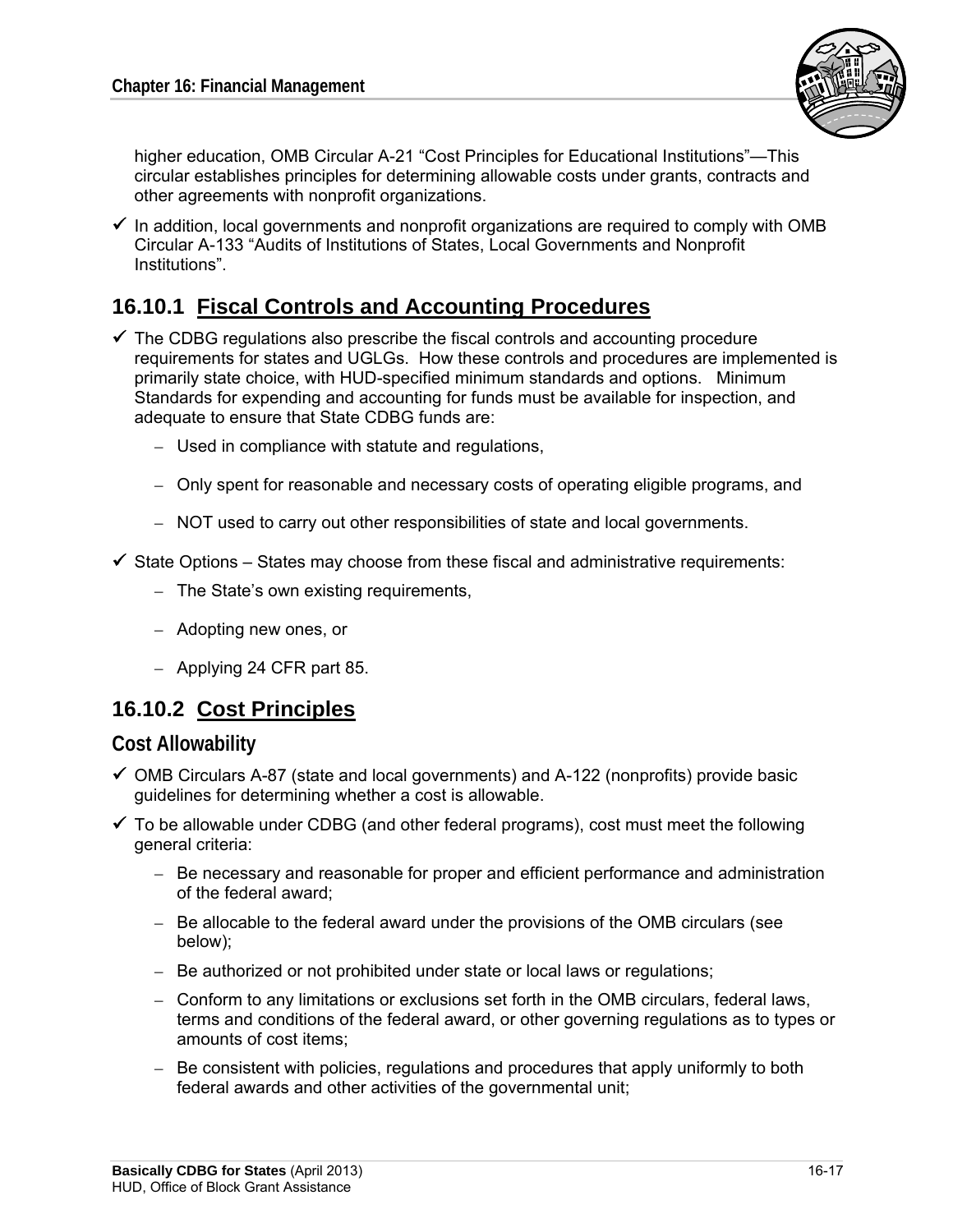

higher education, OMB Circular A-21 "Cost Principles for Educational Institutions"—This circular establishes principles for determining allowable costs under grants, contracts and other agreements with nonprofit organizations.

 $\checkmark$  In addition, local governments and nonprofit organizations are required to comply with OMB Circular A-133 "Audits of Institutions of States, Local Governments and Nonprofit Institutions".

## **16.10.1 Fiscal Controls and Accounting Procedures**

- $\checkmark$  The CDBG regulations also prescribe the fiscal controls and accounting procedure requirements for states and UGLGs. How these controls and procedures are implemented is primarily state choice, with HUD-specified minimum standards and options. Minimum Standards for expending and accounting for funds must be available for inspection, and adequate to ensure that State CDBG funds are:
	- $-$  Used in compliance with statute and regulations,
	- Only spent for reasonable and necessary costs of operating eligible programs, and
	- NOT used to carry out other responsibilities of state and local governments.
- $\checkmark$  State Options States may choose from these fiscal and administrative requirements:
	- $-$  The State's own existing requirements,
	- – Adopting new ones, or
	- Applying 24 CFR part 85.

## **16.10.2 Cost Principles**

#### **Cost Allowability**

- $\checkmark$  OMB Circulars A-87 (state and local governments) and A-122 (nonprofits) provide basic guidelines for determining whether a cost is allowable.
- $\checkmark$  To be allowable under CDBG (and other federal programs), cost must meet the following general criteria:
	- Be necessary and reasonable for proper and efficient performance and administration of the federal award;
	- Be allocable to the federal award under the provisions of the OMB circulars (see below);
	- Be authorized or not prohibited under state or local laws or regulations;
	- Conform to any limitations or exclusions set forth in the OMB circulars, federal laws, terms and conditions of the federal award, or other governing regulations as to types or amounts of cost items;
	- Be consistent with policies, regulations and procedures that apply uniformly to both federal awards and other activities of the governmental unit;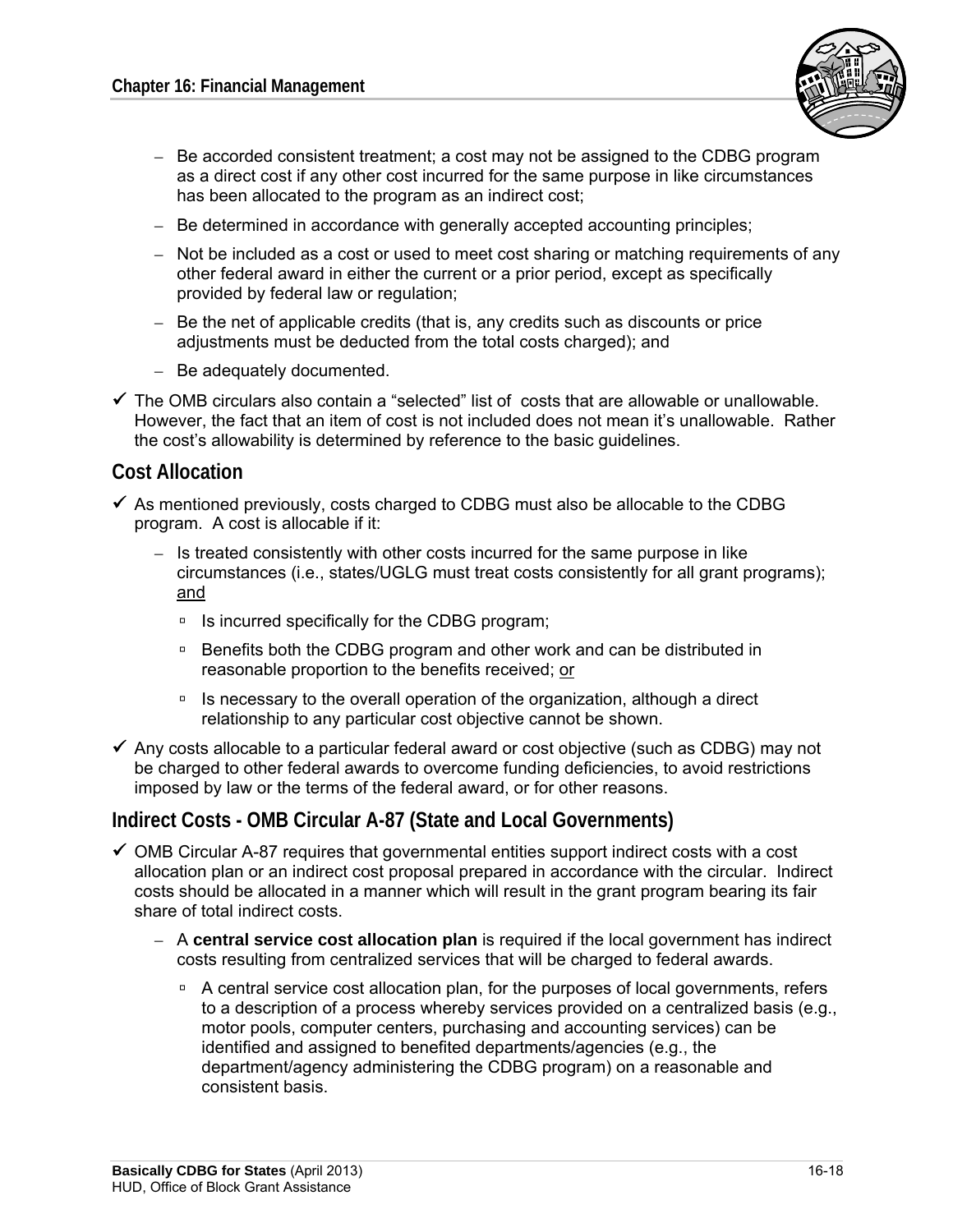

- Be accorded consistent treatment; a cost may not be assigned to the CDBG program as a direct cost if any other cost incurred for the same purpose in like circumstances has been allocated to the program as an indirect cost;
- $-$  Be determined in accordance with generally accepted accounting principles;
- Not be included as a cost or used to meet cost sharing or matching requirements of any other federal award in either the current or a prior period, except as specifically provided by federal law or regulation;
- $-$  Be the net of applicable credits (that is, any credits such as discounts or price adjustments must be deducted from the total costs charged); and
- Be adequately documented.
- $\checkmark$  The OMB circulars also contain a "selected" list of costs that are allowable or unallowable. However, the fact that an item of cost is not included does not mean it's unallowable. Rather the cost's allowability is determined by reference to the basic guidelines.

### **Cost Allocation**

- $\checkmark$  As mentioned previously, costs charged to CDBG must also be allocable to the CDBG program. A cost is allocable if it:
	- Is treated consistently with other costs incurred for the same purpose in like circumstances (i.e., states/UGLG must treat costs consistently for all grant programs); and
		- $\blacksquare$  Is incurred specifically for the CDBG program;
		- □ Benefits both the CDBG program and other work and can be distributed in reasonable proportion to the benefits received; or
		- □ Is necessary to the overall operation of the organization, although a direct relationship to any particular cost objective cannot be shown.
- $\checkmark$  Any costs allocable to a particular federal award or cost objective (such as CDBG) may not be charged to other federal awards to overcome funding deficiencies, to avoid restrictions imposed by law or the terms of the federal award, or for other reasons.

### **Indirect Costs - OMB Circular A-87 (State and Local Governments)**

- $\checkmark$  OMB Circular A-87 requires that governmental entities support indirect costs with a cost allocation plan or an indirect cost proposal prepared in accordance with the circular. Indirect costs should be allocated in a manner which will result in the grant program bearing its fair share of total indirect costs.
	- A **central service cost allocation plan** is required if the local government has indirect costs resulting from centralized services that will be charged to federal awards.
		- A central service cost allocation plan, for the purposes of local governments, refers to a description of a process whereby services provided on a centralized basis (e.g., motor pools, computer centers, purchasing and accounting services) can be identified and assigned to benefited departments/agencies (e.g., the department/agency administering the CDBG program) on a reasonable and consistent basis.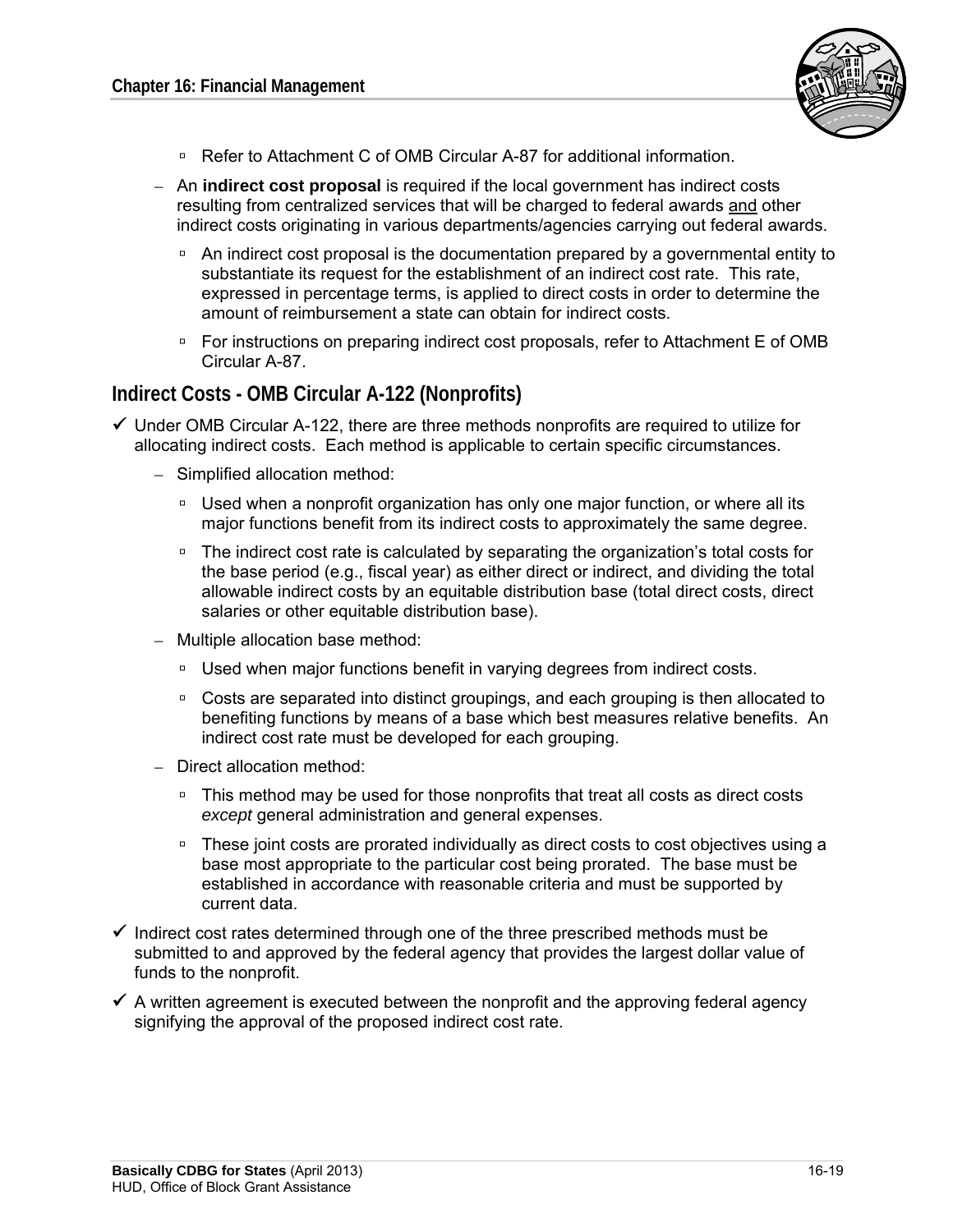

- □ Refer to Attachment C of OMB Circular A-87 for additional information.
- An **indirect cost proposal** is required if the local government has indirect costs resulting from centralized services that will be charged to federal awards and other indirect costs originating in various departments/agencies carrying out federal awards.
	- An indirect cost proposal is the documentation prepared by a governmental entity to substantiate its request for the establishment of an indirect cost rate. This rate, expressed in percentage terms, is applied to direct costs in order to determine the amount of reimbursement a state can obtain for indirect costs.
	- □ For instructions on preparing indirect cost proposals, refer to Attachment E of OMB Circular A-87.

### **Indirect Costs - OMB Circular A-122 (Nonprofits)**

- $\checkmark$  Under OMB Circular A-122, there are three methods nonprofits are required to utilize for allocating indirect costs. Each method is applicable to certain specific circumstances.
	- $-$  Simplified allocation method:
		- □ Used when a nonprofit organization has only one major function, or where all its major functions benefit from its indirect costs to approximately the same degree.
		- □ The indirect cost rate is calculated by separating the organization's total costs for the base period (e.g., fiscal year) as either direct or indirect, and dividing the total allowable indirect costs by an equitable distribution base (total direct costs, direct salaries or other equitable distribution base).
	- Multiple allocation base method:
		- □ Used when major functions benefit in varying degrees from indirect costs.
		- Costs are separated into distinct groupings, and each grouping is then allocated to benefiting functions by means of a base which best measures relative benefits. An indirect cost rate must be developed for each grouping.
	- Direct allocation method:
		- □ This method may be used for those nonprofits that treat all costs as direct costs *except* general administration and general expenses.
		- □ These joint costs are prorated individually as direct costs to cost objectives using a base most appropriate to the particular cost being prorated. The base must be established in accordance with reasonable criteria and must be supported by current data.
- $\checkmark$  Indirect cost rates determined through one of the three prescribed methods must be submitted to and approved by the federal agency that provides the largest dollar value of funds to the nonprofit.
- $\checkmark$  A written agreement is executed between the nonprofit and the approving federal agency signifying the approval of the proposed indirect cost rate.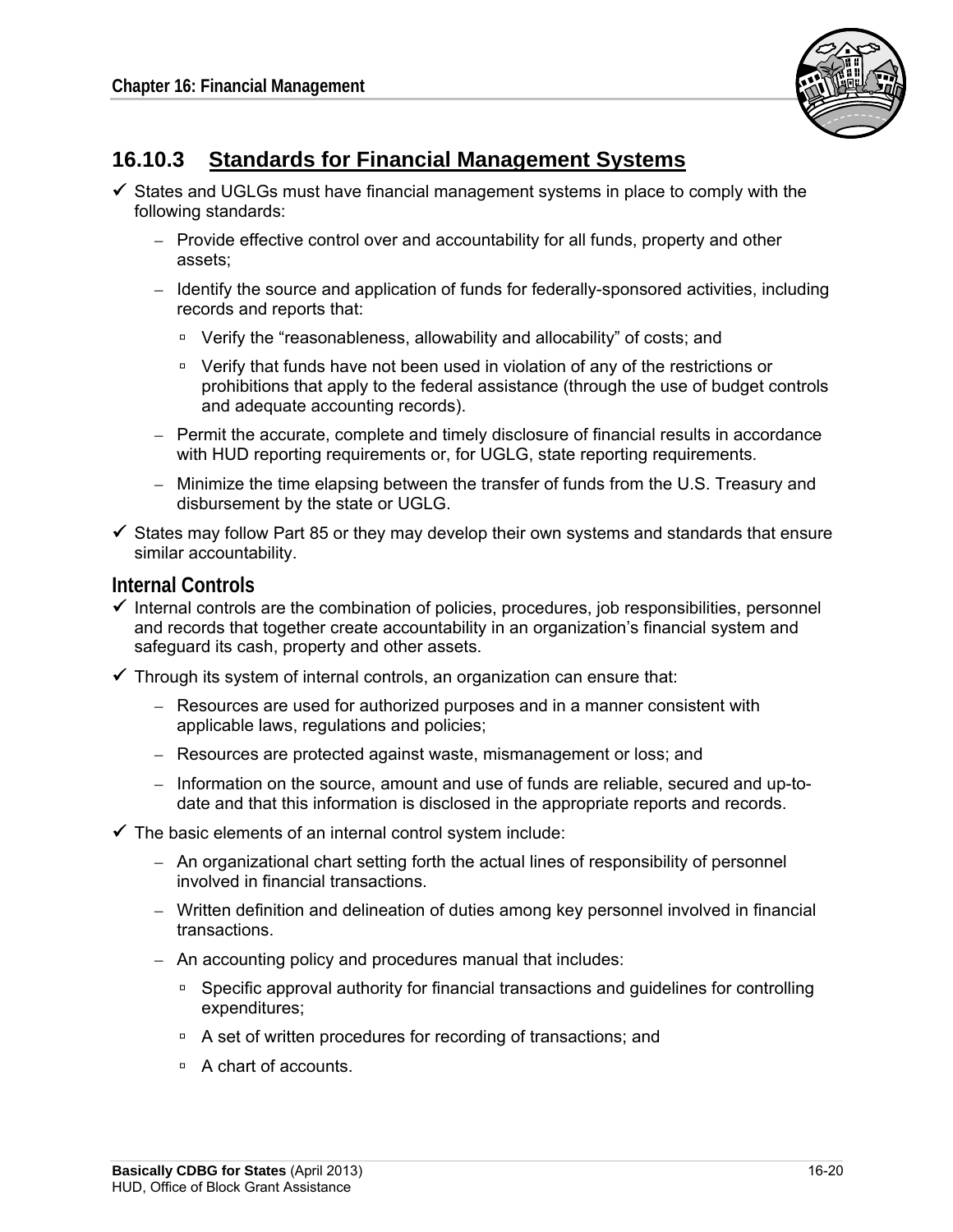

## **16.10.3 Standards for Financial Management Systems**

- $\checkmark$  States and UGLGs must have financial management systems in place to comply with the following standards:
	- $-$  Provide effective control over and accountability for all funds, property and other assets;
	- Identify the source and application of funds for federally-sponsored activities, including records and reports that:
		- □ Verify the "reasonableness, allowability and allocability" of costs; and
		- Verify that funds have not been used in violation of any of the restrictions or prohibitions that apply to the federal assistance (through the use of budget controls and adequate accounting records).
	- Permit the accurate, complete and timely disclosure of financial results in accordance with HUD reporting requirements or, for UGLG, state reporting requirements.
	- Minimize the time elapsing between the transfer of funds from the U.S. Treasury and disbursement by the state or UGLG.
- $\checkmark$  States may follow Part 85 or they may develop their own systems and standards that ensure similar accountability.

#### **Internal Controls**

- $\checkmark$  Internal controls are the combination of policies, procedures, job responsibilities, personnel and records that together create accountability in an organization's financial system and safeguard its cash, property and other assets.
- $\checkmark$  Through its system of internal controls, an organization can ensure that:
	- – Resources are used for authorized purposes and in a manner consistent with applicable laws, regulations and policies;
	- Resources are protected against waste, mismanagement or loss; and
	- $-$  Information on the source, amount and use of funds are reliable, secured and up-todate and that this information is disclosed in the appropriate reports and records.
- $\checkmark$  The basic elements of an internal control system include:
	- An organizational chart setting forth the actual lines of responsibility of personnel involved in financial transactions.
	- – Written definition and delineation of duties among key personnel involved in financial transactions.
	- $-$  An accounting policy and procedures manual that includes:
		- Specific approval authority for financial transactions and guidelines for controlling expenditures;
		- □ A set of written procedures for recording of transactions; and
		- □ A chart of accounts.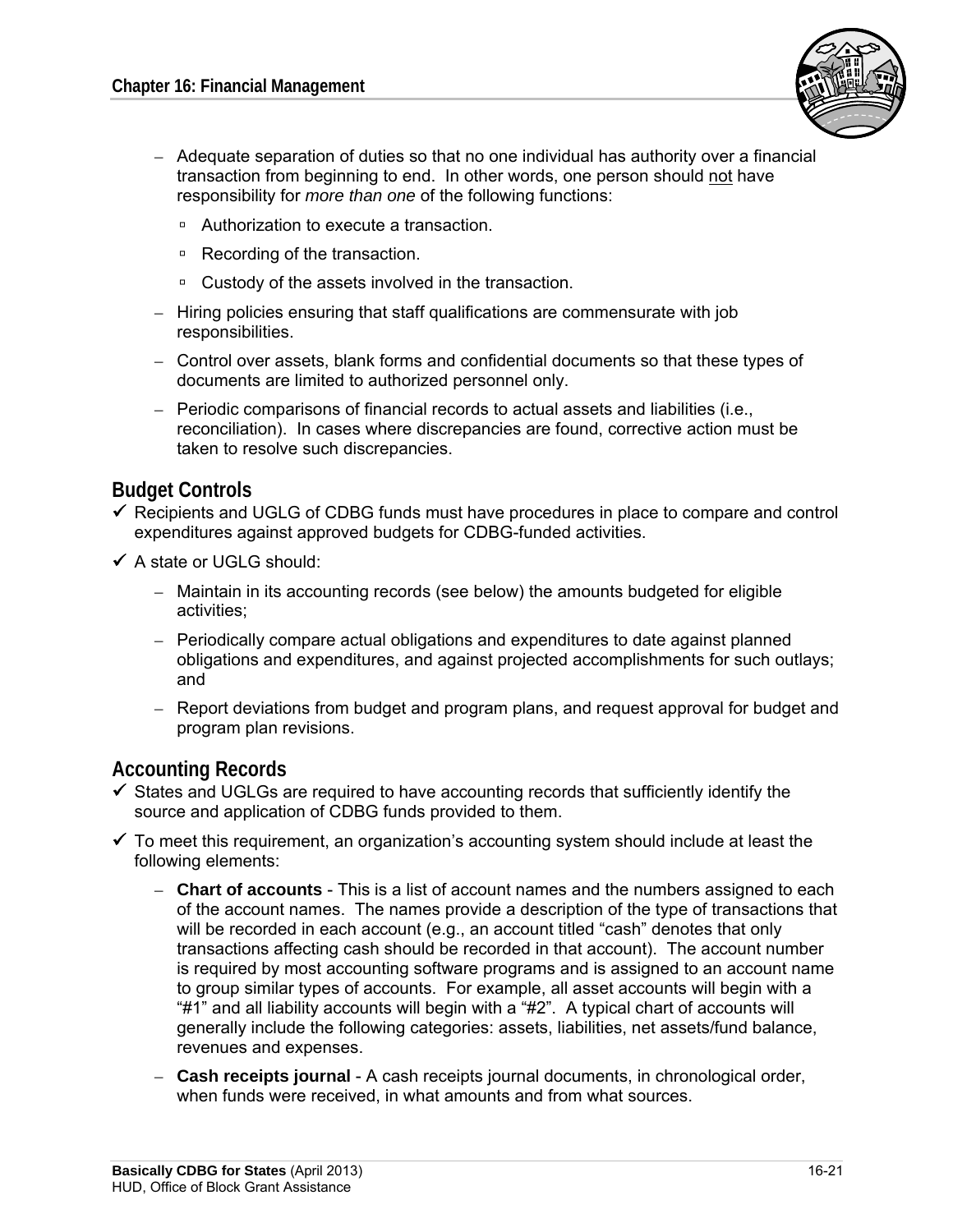

- Adequate separation of duties so that no one individual has authority over a financial transaction from beginning to end. In other words, one person should not have responsibility for *more than one* of the following functions:
	- □ Authorization to execute a transaction.
	- Recording of the transaction.
	- □ Custody of the assets involved in the transaction.
- $-$  Hiring policies ensuring that staff qualifications are commensurate with job responsibilities.
- Control over assets, blank forms and confidential documents so that these types of documents are limited to authorized personnel only.
- – Periodic comparisons of financial records to actual assets and liabilities (i.e., reconciliation). In cases where discrepancies are found, corrective action must be taken to resolve such discrepancies.

### **Budget Controls**

- $\checkmark$  Recipients and UGLG of CDBG funds must have procedures in place to compare and control expenditures against approved budgets for CDBG-funded activities.
- $\checkmark$  A state or UGLG should:
	- – Maintain in its accounting records (see below) the amounts budgeted for eligible activities;
	- Periodically compare actual obligations and expenditures to date against planned obligations and expenditures, and against projected accomplishments for such outlays; and
	- Report deviations from budget and program plans, and request approval for budget and program plan revisions.

### **Accounting Records**

- $\checkmark$  States and UGLGs are required to have accounting records that sufficiently identify the source and application of CDBG funds provided to them.
- $\checkmark$  To meet this requirement, an organization's accounting system should include at least the following elements:
	- $-$  **Chart of accounts** This is a list of account names and the numbers assigned to each of the account names. The names provide a description of the type of transactions that will be recorded in each account (e.g., an account titled "cash" denotes that only transactions affecting cash should be recorded in that account). The account number is required by most accounting software programs and is assigned to an account name to group similar types of accounts. For example, all asset accounts will begin with a "#1" and all liability accounts will begin with a "#2". A typical chart of accounts will generally include the following categories: assets, liabilities, net assets/fund balance, revenues and expenses.
	- **Cash receipts journal** A cash receipts journal documents, in chronological order, when funds were received, in what amounts and from what sources.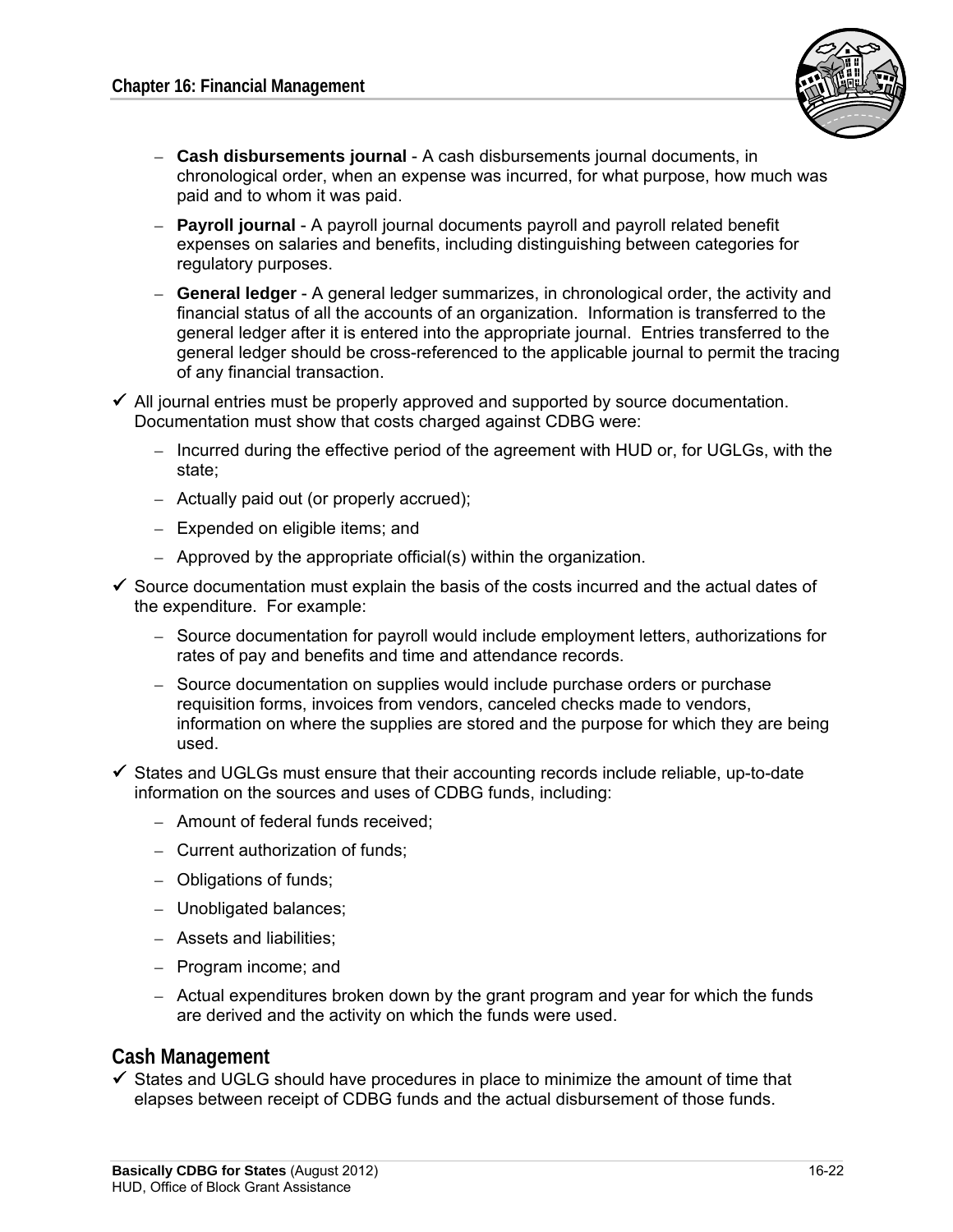

- – **Cash disbursements journal** A cash disbursements journal documents, in chronological order, when an expense was incurred, for what purpose, how much was paid and to whom it was paid.
- – **Payroll journal** A payroll journal documents payroll and payroll related benefit expenses on salaries and benefits, including distinguishing between categories for regulatory purposes.
- – **General ledger** A general ledger summarizes, in chronological order, the activity and financial status of all the accounts of an organization. Information is transferred to the general ledger after it is entered into the appropriate journal. Entries transferred to the general ledger should be cross-referenced to the applicable journal to permit the tracing of any financial transaction.
- $\checkmark$  All journal entries must be properly approved and supported by source documentation. Documentation must show that costs charged against CDBG were:
	- Incurred during the effective period of the agreement with HUD or, for UGLGs, with the state;
	- Actually paid out (or properly accrued);
	- $-$  Expended on eligible items; and
	- $-$  Approved by the appropriate official(s) within the organization.
- $\checkmark$  Source documentation must explain the basis of the costs incurred and the actual dates of the expenditure. For example:
	- – Source documentation for payroll would include employment letters, authorizations for rates of pay and benefits and time and attendance records.
	- Source documentation on supplies would include purchase orders or purchase requisition forms, invoices from vendors, canceled checks made to vendors, information on where the supplies are stored and the purpose for which they are being used.
- $\checkmark$  States and UGLGs must ensure that their accounting records include reliable, up-to-date information on the sources and uses of CDBG funds, including:
	- Amount of federal funds received:
	- $-$  Current authorization of funds:
	- Obligations of funds;
	- Unobligated balances;
	- – Assets and liabilities;
	- Program income; and
	- $-$  Actual expenditures broken down by the grant program and year for which the funds are derived and the activity on which the funds were used.

### **Cash Management**

 $\checkmark$  States and UGLG should have procedures in place to minimize the amount of time that elapses between receipt of CDBG funds and the actual disbursement of those funds.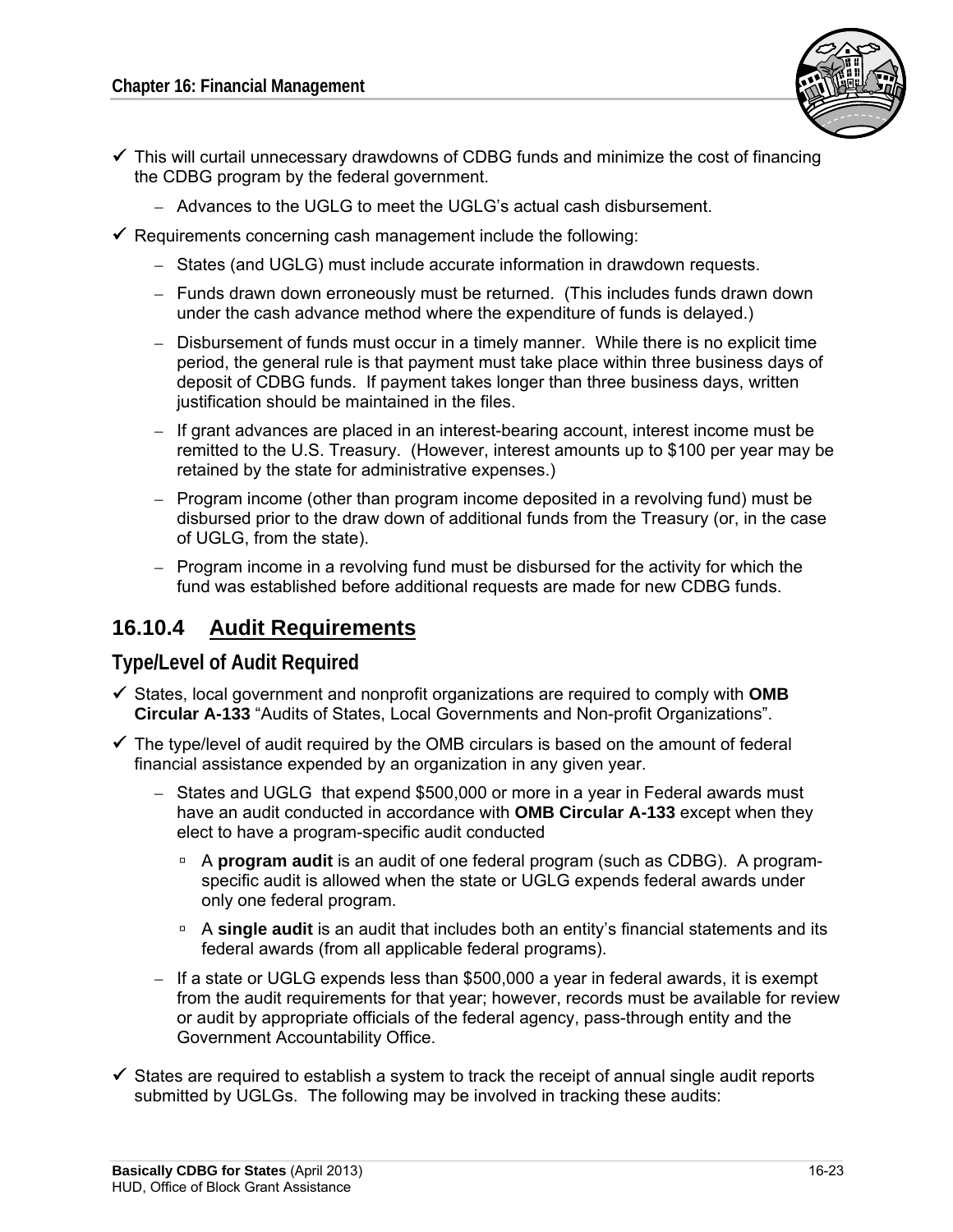

- $\checkmark$  This will curtail unnecessary drawdowns of CDBG funds and minimize the cost of financing the CDBG program by the federal government.
	- Advances to the UGLG to meet the UGLG's actual cash disbursement.
- $\checkmark$  Requirements concerning cash management include the following:
	- States (and UGLG) must include accurate information in drawdown requests.
	- Funds drawn down erroneously must be returned. (This includes funds drawn down under the cash advance method where the expenditure of funds is delayed.)
	- Disbursement of funds must occur in a timely manner. While there is no explicit time period, the general rule is that payment must take place within three business days of deposit of CDBG funds. If payment takes longer than three business days, written justification should be maintained in the files.
	- $-$  If grant advances are placed in an interest-bearing account, interest income must be remitted to the U.S. Treasury. (However, interest amounts up to \$100 per year may be retained by the state for administrative expenses.)
	- Program income (other than program income deposited in a revolving fund) must be disbursed prior to the draw down of additional funds from the Treasury (or, in the case of UGLG, from the state).
	- $-$  Program income in a revolving fund must be disbursed for the activity for which the fund was established before additional requests are made for new CDBG funds.

## **16.10.4 Audit Requirements**

### **Type/Level of Audit Required**

- $\checkmark$  States, local government and nonprofit organizations are required to comply with **OMB Circular A-133** "Audits of States, Local Governments and Non-profit Organizations".
- $\checkmark$  The type/level of audit required by the OMB circulars is based on the amount of federal financial assistance expended by an organization in any given year.
	- $-$  States and UGLG that expend \$500,000 or more in a year in Federal awards must have an audit conducted in accordance with **OMB Circular A-133** except when they elect to have a program-specific audit conducted
		- A **program audit** is an audit of one federal program (such as CDBG). A programspecific audit is allowed when the state or UGLG expends federal awards under only one federal program.
		- A **single audit** is an audit that includes both an entity's financial statements and its federal awards (from all applicable federal programs).
	- $-$  If a state or UGLG expends less than \$500,000 a year in federal awards, it is exempt from the audit requirements for that year; however, records must be available for review or audit by appropriate officials of the federal agency, pass-through entity and the Government Accountability Office.
- $\checkmark$  States are required to establish a system to track the receipt of annual single audit reports submitted by UGLGs. The following may be involved in tracking these audits: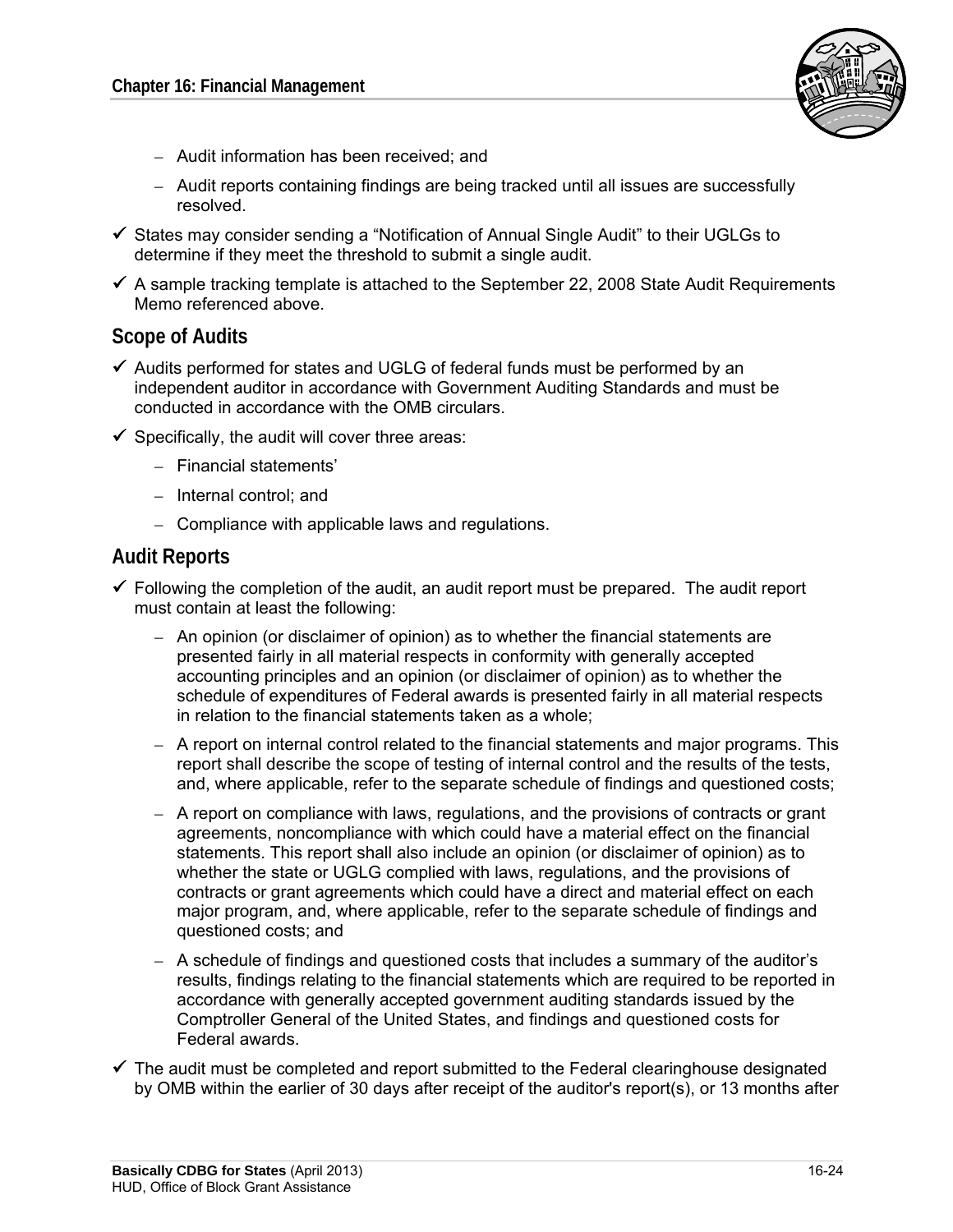

- – Audit information has been received; and
- Audit reports containing findings are being tracked until all issues are successfully resolved.
- $\checkmark$  States may consider sending a "Notification of Annual Single Audit" to their UGLGs to determine if they meet the threshold to submit a single audit.
- $\checkmark$  A sample tracking template is attached to the September 22, 2008 State Audit Requirements Memo referenced above.

#### **Scope of Audits**

- $\checkmark$  Audits performed for states and UGLG of federal funds must be performed by an independent auditor in accordance with Government Auditing Standards and must be conducted in accordance with the OMB circulars.
- $\checkmark$  Specifically, the audit will cover three areas:
	- Financial statements'
	- Internal control; and
	- Compliance with applicable laws and regulations.

#### **Audit Reports**

- $\checkmark$  Following the completion of the audit, an audit report must be prepared. The audit report must contain at least the following:
	- $-$  An opinion (or disclaimer of opinion) as to whether the financial statements are presented fairly in all material respects in conformity with generally accepted accounting principles and an opinion (or disclaimer of opinion) as to whether the schedule of expenditures of Federal awards is presented fairly in all material respects in relation to the financial statements taken as a whole;
	- A report on internal control related to the financial statements and major programs. This report shall describe the scope of testing of internal control and the results of the tests, and, where applicable, refer to the separate schedule of findings and questioned costs;
	- A report on compliance with laws, regulations, and the provisions of contracts or grant agreements, noncompliance with which could have a material effect on the financial statements. This report shall also include an opinion (or disclaimer of opinion) as to whether the state or UGLG complied with laws, regulations, and the provisions of contracts or grant agreements which could have a direct and material effect on each major program, and, where applicable, refer to the separate schedule of findings and questioned costs; and
	- $-$  A schedule of findings and questioned costs that includes a summary of the auditor's results, findings relating to the financial statements which are required to be reported in accordance with generally accepted government auditing standards issued by the Comptroller General of the United States, and findings and questioned costs for Federal awards.
- $\checkmark$  The audit must be completed and report submitted to the Federal clearinghouse designated by OMB within the earlier of 30 days after receipt of the auditor's report(s), or 13 months after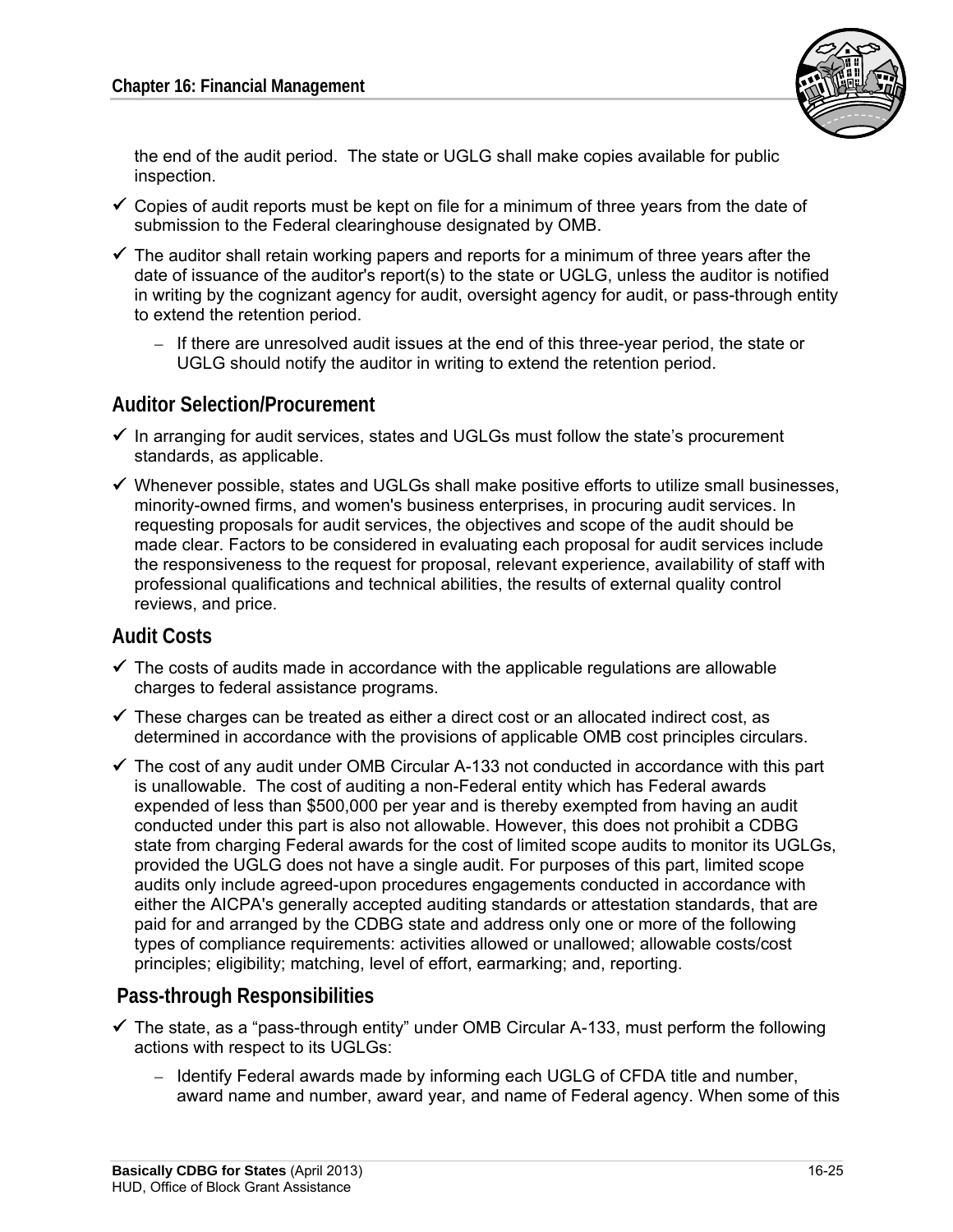

the end of the audit period. The state or UGLG shall make copies available for public inspection.

- $\checkmark$  Copies of audit reports must be kept on file for a minimum of three years from the date of submission to the Federal clearinghouse designated by OMB.
- $\checkmark$  The auditor shall retain working papers and reports for a minimum of three years after the date of issuance of the auditor's report(s) to the state or UGLG, unless the auditor is notified in writing by the cognizant agency for audit, oversight agency for audit, or pass-through entity to extend the retention period.
	- $-$  If there are unresolved audit issues at the end of this three-year period, the state or UGLG should notify the auditor in writing to extend the retention period.

### **Auditor Selection/Procurement**

- $\checkmark$  In arranging for audit services, states and UGLGs must follow the state's procurement standards, as applicable.
- $\checkmark$  Whenever possible, states and UGLGs shall make positive efforts to utilize small businesses, minority-owned firms, and women's business enterprises, in procuring audit services. In requesting proposals for audit services, the objectives and scope of the audit should be made clear. Factors to be considered in evaluating each proposal for audit services include the responsiveness to the request for proposal, relevant experience, availability of staff with professional qualifications and technical abilities, the results of external quality control reviews, and price.

### **Audit Costs**

- $\checkmark$  The costs of audits made in accordance with the applicable regulations are allowable charges to federal assistance programs.
- $\checkmark$  These charges can be treated as either a direct cost or an allocated indirect cost, as determined in accordance with the provisions of applicable OMB cost principles circulars.
- $\checkmark$  The cost of any audit under OMB Circular A-133 not conducted in accordance with this part is unallowable. The cost of auditing a non-Federal entity which has Federal awards expended of less than \$500,000 per year and is thereby exempted from having an audit conducted under this part is also not allowable. However, this does not prohibit a CDBG state from charging Federal awards for the cost of limited scope audits to monitor its UGLGs, provided the UGLG does not have a single audit. For purposes of this part, limited scope audits only include agreed-upon procedures engagements conducted in accordance with either the AICPA's generally accepted auditing standards or attestation standards, that are paid for and arranged by the CDBG state and address only one or more of the following types of compliance requirements: activities allowed or unallowed; allowable costs/cost principles; eligibility; matching, level of effort, earmarking; and, reporting.

### **Pass-through Responsibilities**

- $\checkmark$  The state, as a "pass-through entity" under OMB Circular A-133, must perform the following actions with respect to its UGLGs:
	- Identify Federal awards made by informing each UGLG of CFDA title and number, award name and number, award year, and name of Federal agency. When some of this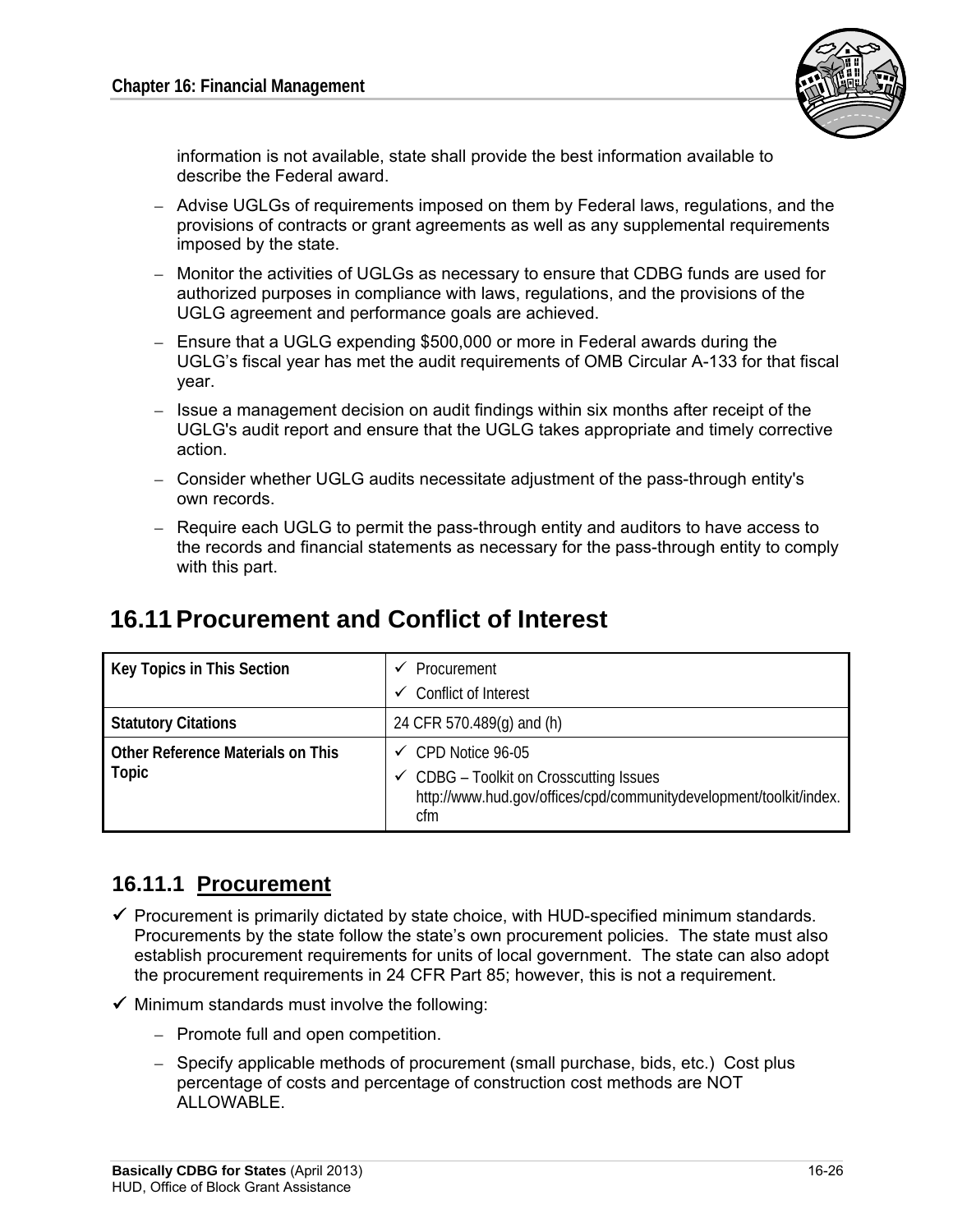

information is not available, state shall provide the best information available to describe the Federal award.

- $-$  Advise UGLGs of requirements imposed on them by Federal laws, regulations, and the provisions of contracts or grant agreements as well as any supplemental requirements imposed by the state.
- Monitor the activities of UGLGs as necessary to ensure that CDBG funds are used for authorized purposes in compliance with laws, regulations, and the provisions of the UGLG agreement and performance goals are achieved.
- Ensure that a UGLG expending \$500,000 or more in Federal awards during the UGLG's fiscal year has met the audit requirements of OMB Circular A-133 for that fiscal year.
- Issue a management decision on audit findings within six months after receipt of the UGLG's audit report and ensure that the UGLG takes appropriate and timely corrective action.
- Consider whether UGLG audits necessitate adjustment of the pass-through entity's own records.
- Require each UGLG to permit the pass-through entity and auditors to have access to the records and financial statements as necessary for the pass-through entity to comply with this part.

## **16.11 Procurement and Conflict of Interest**

| Key Topics in This Section                 | Procurement<br>Conflict of Interest<br>✓                                                                                                              |
|--------------------------------------------|-------------------------------------------------------------------------------------------------------------------------------------------------------|
| <b>Statutory Citations</b>                 | 24 CFR 570.489(q) and (h)                                                                                                                             |
| Other Reference Materials on This<br>Topic | $\checkmark$ CPD Notice 96-05<br>← CDBG - Toolkit on Crosscutting Issues<br>http://www.hud.gov/offices/cpd/communitydevelopment/toolkit/index.<br>cfm |

## **16.11.1 Procurement**

- $\checkmark$  Procurement is primarily dictated by state choice, with HUD-specified minimum standards. Procurements by the state follow the state's own procurement policies. The state must also establish procurement requirements for units of local government. The state can also adopt the procurement requirements in 24 CFR Part 85; however, this is not a requirement.
- $\checkmark$  Minimum standards must involve the following:
	- Promote full and open competition.
	- Specify applicable methods of procurement (small purchase, bids, etc.) Cost plus percentage of costs and percentage of construction cost methods are NOT ALLOWABLE.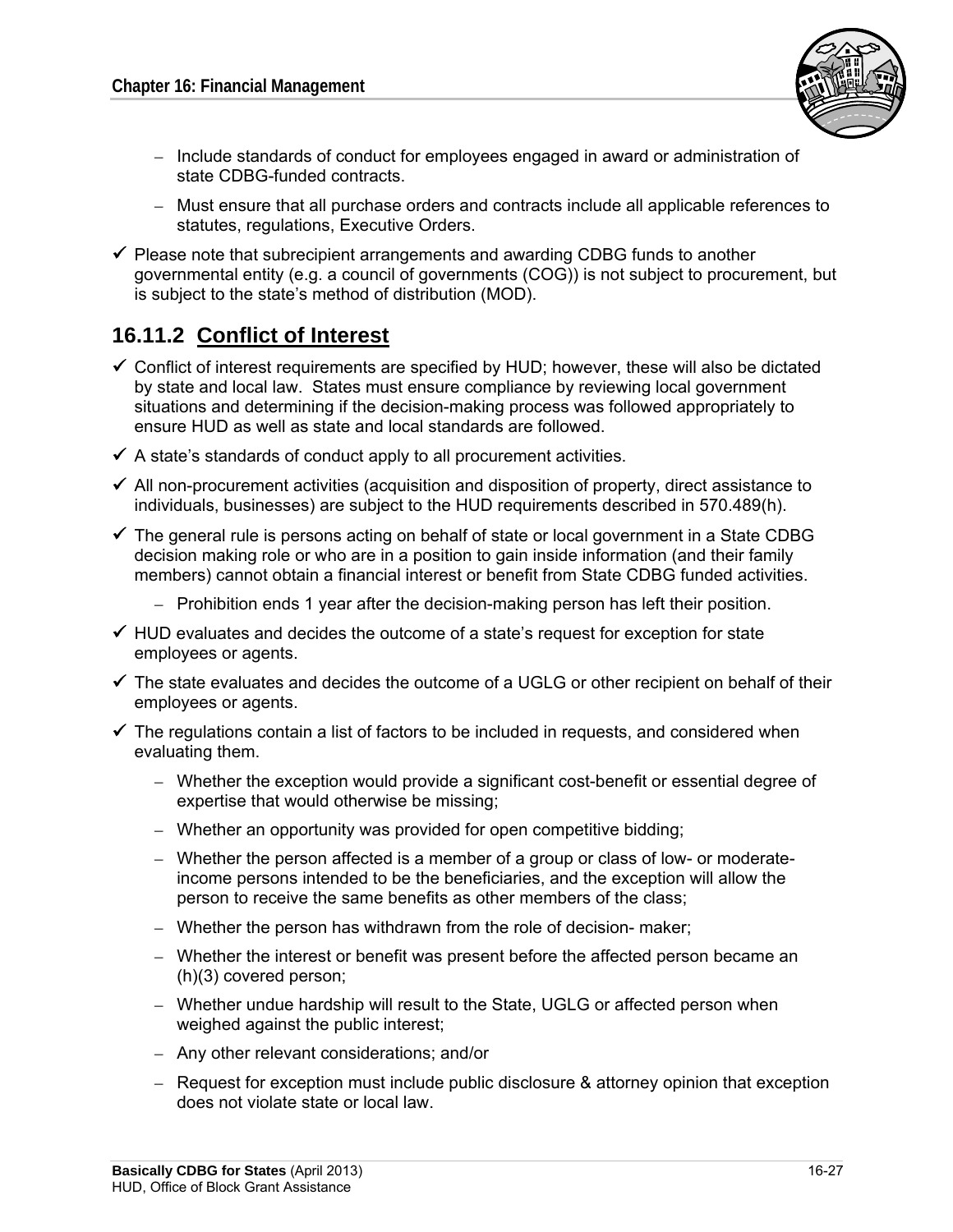

- – Include standards of conduct for employees engaged in award or administration of state CDBG-funded contracts.
- Must ensure that all purchase orders and contracts include all applicable references to statutes, regulations, Executive Orders.
- $\checkmark$  Please note that subrecipient arrangements and awarding CDBG funds to another governmental entity (e.g. a council of governments (COG)) is not subject to procurement, but is subject to the state's method of distribution (MOD).

## **16.11.2 Conflict of Interest**

- $\checkmark$  Conflict of interest requirements are specified by HUD; however, these will also be dictated by state and local law. States must ensure compliance by reviewing local government situations and determining if the decision-making process was followed appropriately to ensure HUD as well as state and local standards are followed.
- $\checkmark$  A state's standards of conduct apply to all procurement activities.
- $\checkmark$  All non-procurement activities (acquisition and disposition of property, direct assistance to individuals, businesses) are subject to the HUD requirements described in 570.489(h).
- $\checkmark$  The general rule is persons acting on behalf of state or local government in a State CDBG decision making role or who are in a position to gain inside information (and their family members) cannot obtain a financial interest or benefit from State CDBG funded activities.
	- Prohibition ends 1 year after the decision-making person has left their position.
- $\checkmark$  HUD evaluates and decides the outcome of a state's request for exception for state employees or agents.
- $\checkmark$  The state evaluates and decides the outcome of a UGLG or other recipient on behalf of their employees or agents.
- $\checkmark$  The regulations contain a list of factors to be included in requests, and considered when evaluating them.
	- Whether the exception would provide a significant cost-benefit or essential degree of expertise that would otherwise be missing;
	- Whether an opportunity was provided for open competitive bidding;
	- Whether the person affected is a member of a group or class of low- or moderateincome persons intended to be the beneficiaries, and the exception will allow the person to receive the same benefits as other members of the class;
	- $-$  Whether the person has withdrawn from the role of decision- maker;
	- Whether the interest or benefit was present before the affected person became an (h)(3) covered person;
	- Whether undue hardship will result to the State, UGLG or affected person when weighed against the public interest;
	- – Any other relevant considerations; and/or
	- $-$  Request for exception must include public disclosure & attorney opinion that exception does not violate state or local law.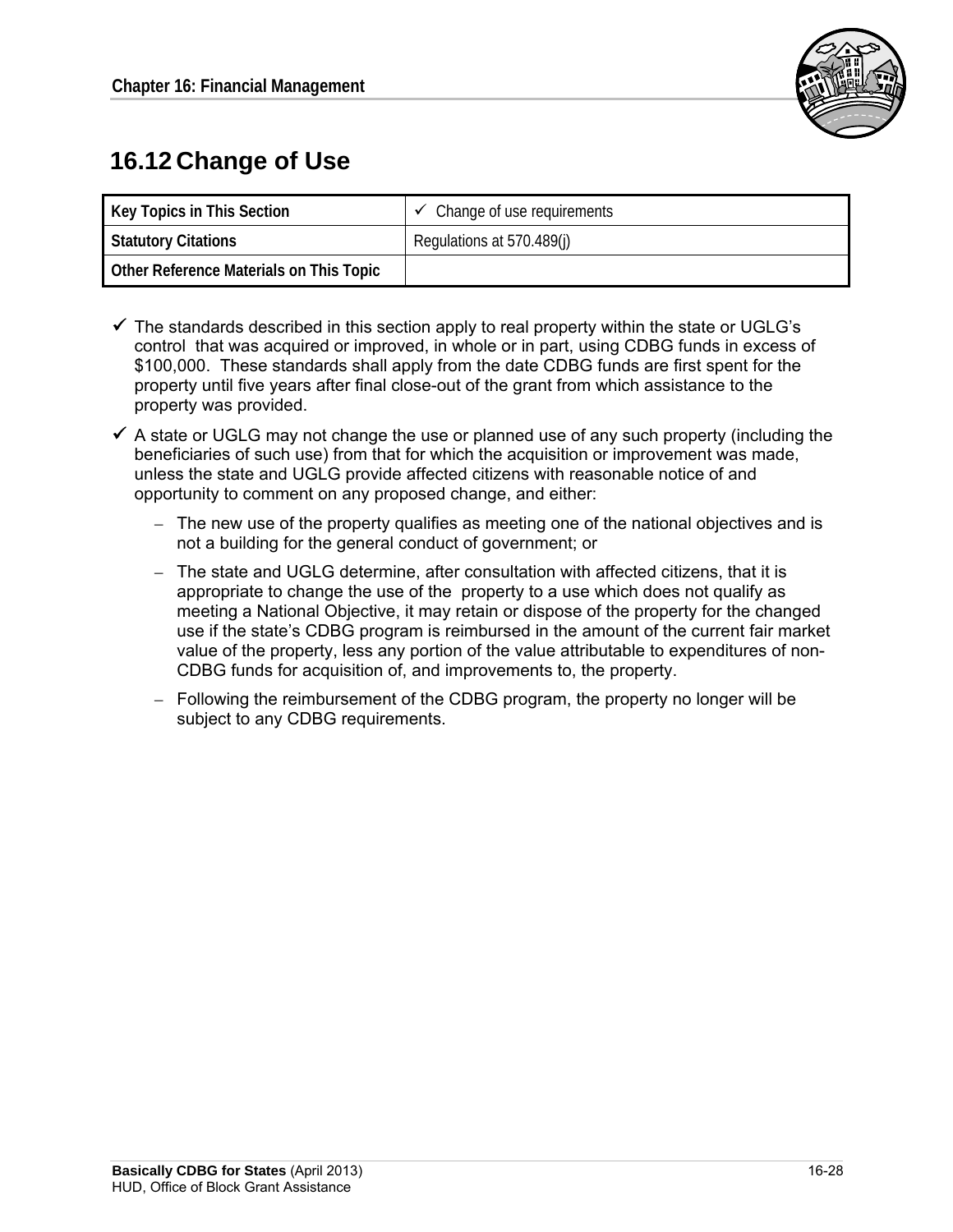

# **16.12 Change of Use**

| Key Topics in This Section              | $\checkmark$ Change of use requirements |
|-----------------------------------------|-----------------------------------------|
| <b>Statutory Citations</b>              | Regulations at 570.489(j)               |
| Other Reference Materials on This Topic |                                         |

- $\checkmark$  The standards described in this section apply to real property within the state or UGLG's control that was acquired or improved, in whole or in part, using CDBG funds in excess of \$100,000. These standards shall apply from the date CDBG funds are first spent for the property until five years after final close-out of the grant from which assistance to the property was provided.
- $\checkmark$  A state or UGLG may not change the use or planned use of any such property (including the beneficiaries of such use) from that for which the acquisition or improvement was made, unless the state and UGLG provide affected citizens with reasonable notice of and opportunity to comment on any proposed change, and either:
	- $-$  The new use of the property qualifies as meeting one of the national objectives and is not a building for the general conduct of government; or
	- $-$  The state and UGLG determine, after consultation with affected citizens, that it is appropriate to change the use of the property to a use which does not qualify as meeting a National Objective, it may retain or dispose of the property for the changed use if the state's CDBG program is reimbursed in the amount of the current fair market value of the property, less any portion of the value attributable to expenditures of non-CDBG funds for acquisition of, and improvements to, the property.
	- $-$  Following the reimbursement of the CDBG program, the property no longer will be subject to any CDBG requirements.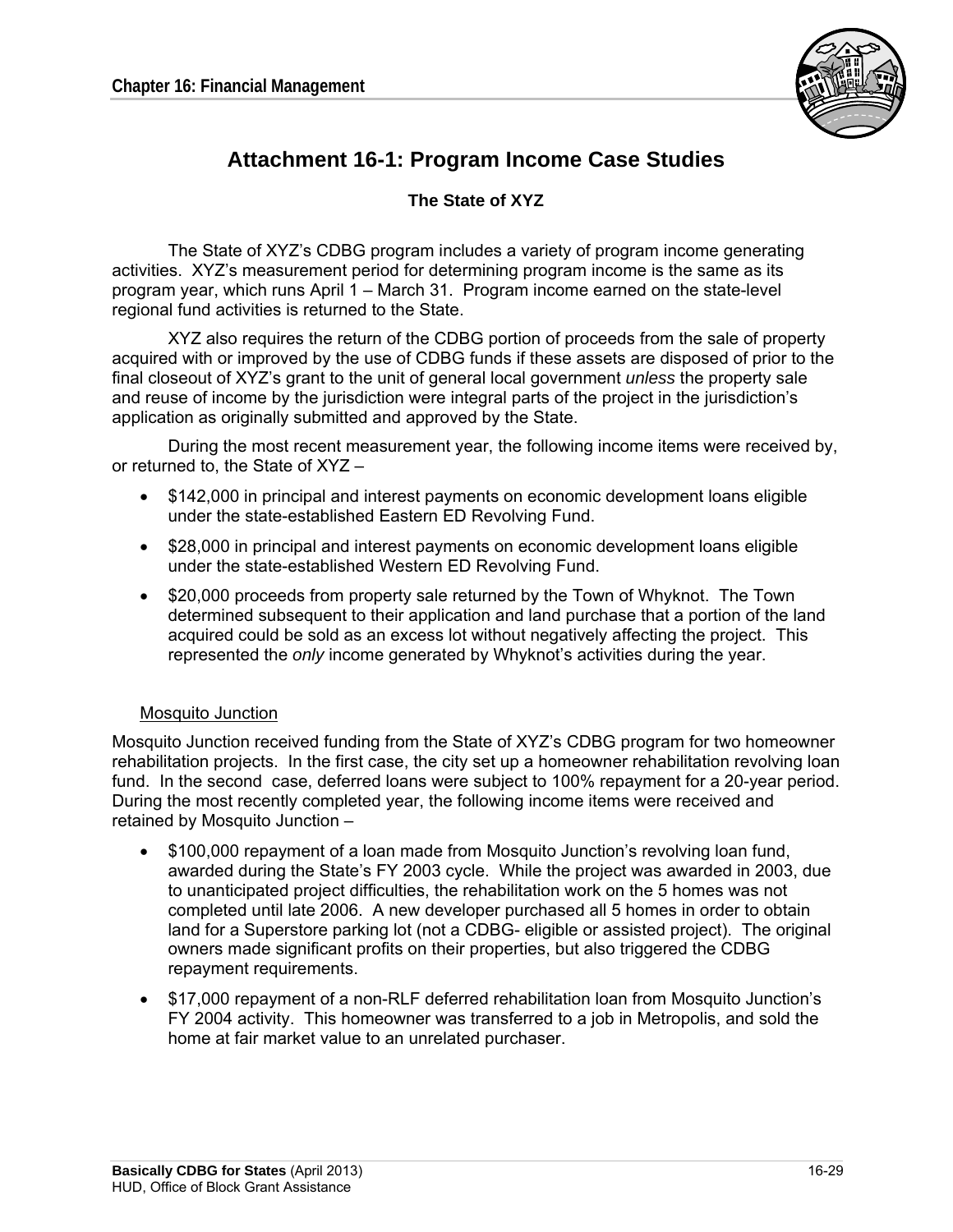

## **Attachment 16-1: Program Income Case Studies**

#### **The State of XYZ**

The State of XYZ's CDBG program includes a variety of program income generating activities. XYZ's measurement period for determining program income is the same as its program year, which runs April 1 – March 31. Program income earned on the state-level regional fund activities is returned to the State.

XYZ also requires the return of the CDBG portion of proceeds from the sale of property acquired with or improved by the use of CDBG funds if these assets are disposed of prior to the final closeout of XYZ's grant to the unit of general local government *unless* the property sale and reuse of income by the jurisdiction were integral parts of the project in the jurisdiction's application as originally submitted and approved by the State.

During the most recent measurement year, the following income items were received by, or returned to, the State of XYZ –

- \$142,000 in principal and interest payments on economic development loans eligible under the state-established Eastern ED Revolving Fund.
- \$28,000 in principal and interest payments on economic development loans eligible under the state-established Western ED Revolving Fund.
- \$20,000 proceeds from property sale returned by the Town of Whyknot. The Town determined subsequent to their application and land purchase that a portion of the land acquired could be sold as an excess lot without negatively affecting the project. This represented the *only* income generated by Whyknot's activities during the year.

#### Mosquito Junction

Mosquito Junction received funding from the State of XYZ's CDBG program for two homeowner rehabilitation projects. In the first case, the city set up a homeowner rehabilitation revolving loan fund. In the second case, deferred loans were subject to 100% repayment for a 20-year period. During the most recently completed year, the following income items were received and retained by Mosquito Junction –

- \$100,000 repayment of a loan made from Mosquito Junction's revolving loan fund, awarded during the State's FY 2003 cycle. While the project was awarded in 2003, due to unanticipated project difficulties, the rehabilitation work on the 5 homes was not completed until late 2006. A new developer purchased all 5 homes in order to obtain land for a Superstore parking lot (not a CDBG- eligible or assisted project). The original owners made significant profits on their properties, but also triggered the CDBG repayment requirements.
- \$17,000 repayment of a non-RLF deferred rehabilitation loan from Mosquito Junction's FY 2004 activity. This homeowner was transferred to a job in Metropolis, and sold the home at fair market value to an unrelated purchaser.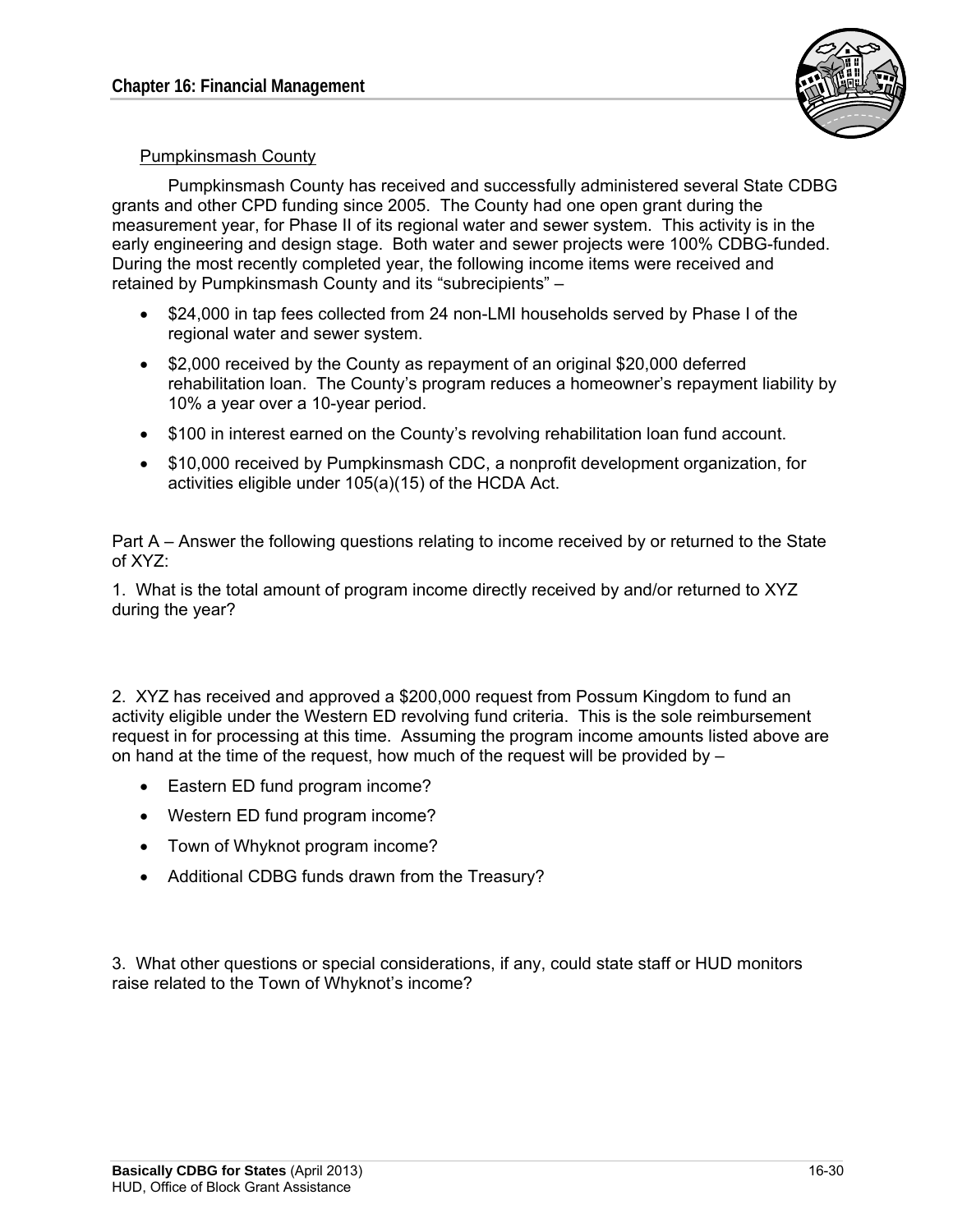

#### Pumpkinsmash County

Pumpkinsmash County has received and successfully administered several State CDBG grants and other CPD funding since 2005. The County had one open grant during the measurement year, for Phase II of its regional water and sewer system. This activity is in the early engineering and design stage. Both water and sewer projects were 100% CDBG-funded. During the most recently completed year, the following income items were received and retained by Pumpkinsmash County and its "subrecipients" –

- \$24,000 in tap fees collected from 24 non-LMI households served by Phase I of the regional water and sewer system.
- \$2,000 received by the County as repayment of an original \$20,000 deferred rehabilitation loan. The County's program reduces a homeowner's repayment liability by 10% a year over a 10-year period.
- \$100 in interest earned on the County's revolving rehabilitation loan fund account.
- \$10,000 received by Pumpkinsmash CDC, a nonprofit development organization, for activities eligible under 105(a)(15) of the HCDA Act.

Part A – Answer the following questions relating to income received by or returned to the State of XYZ:

1. What is the total amount of program income directly received by and/or returned to XYZ during the year?

2. XYZ has received and approved a \$200,000 request from Possum Kingdom to fund an activity eligible under the Western ED revolving fund criteria. This is the sole reimbursement request in for processing at this time. Assuming the program income amounts listed above are on hand at the time of the request, how much of the request will be provided by  $-$ 

- Eastern ED fund program income?
- Western ED fund program income?
- Town of Whyknot program income?
- Additional CDBG funds drawn from the Treasury?

3. What other questions or special considerations, if any, could state staff or HUD monitors raise related to the Town of Whyknot's income?